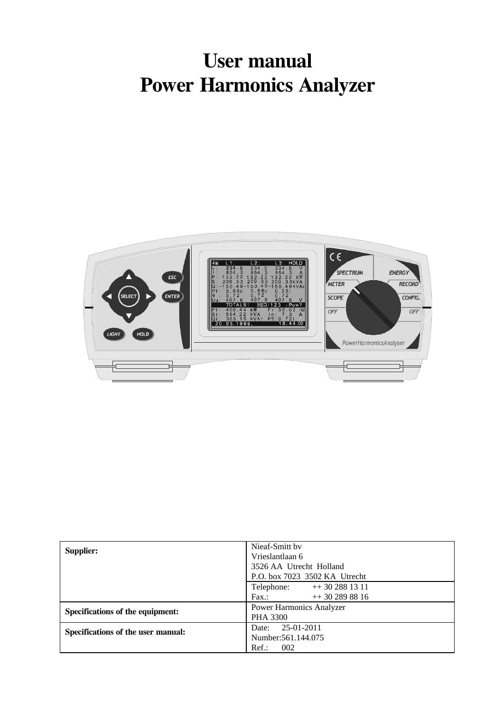# **User manual Power Harmonics Analyzer**



| Supplier:                          | Nieaf-Smitt by<br>Vrieslantlaan 6<br>3526 AA Utrecht Holland<br>P.O. box 7023 3502 KA Utrecht |  |
|------------------------------------|-----------------------------------------------------------------------------------------------|--|
|                                    | Telephone: $++302881311$<br>$++$ 30 289 88 16<br>Fax.                                         |  |
| Specifications of the equipment:   | <b>Power Harmonics Analyzer</b><br><b>PHA 3300</b>                                            |  |
| Specifications of the user manual: | 25-01-2011<br>Date:<br>Number: 561.144.075<br>$Ref.$ :<br>002                                 |  |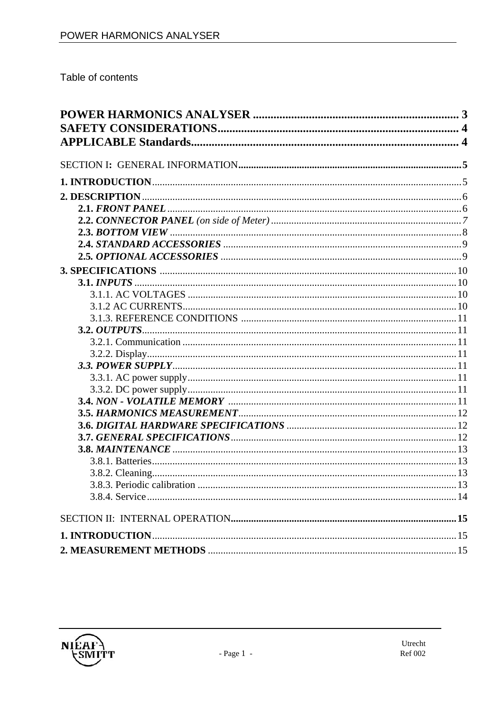Table of contents

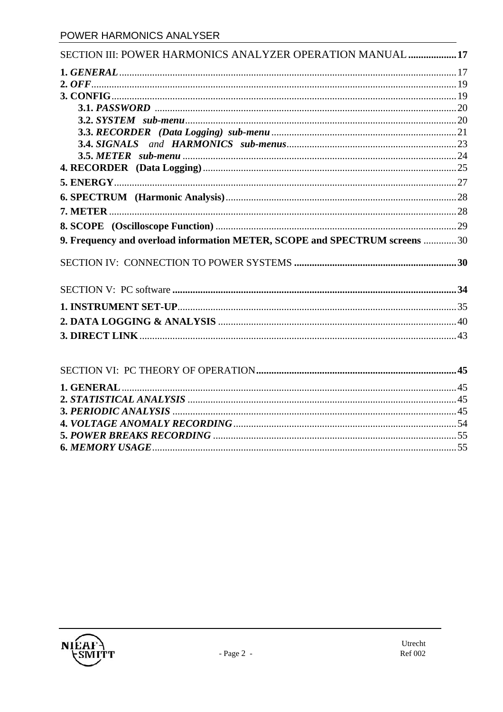| SECTION III: POWER HARMONICS ANALYZER OPERATION MANUAL  17                  |  |
|-----------------------------------------------------------------------------|--|
|                                                                             |  |
|                                                                             |  |
|                                                                             |  |
|                                                                             |  |
|                                                                             |  |
|                                                                             |  |
|                                                                             |  |
|                                                                             |  |
|                                                                             |  |
|                                                                             |  |
|                                                                             |  |
|                                                                             |  |
|                                                                             |  |
| 9. Frequency and overload information METER, SCOPE and SPECTRUM screens  30 |  |
|                                                                             |  |
|                                                                             |  |
|                                                                             |  |
|                                                                             |  |
|                                                                             |  |
|                                                                             |  |

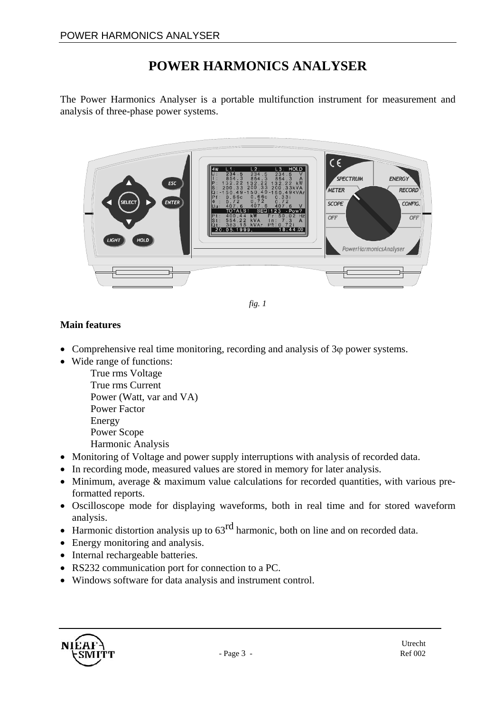## **POWER HARMONICS ANALYSER**

The Power Harmonics Analyser is a portable multifunction instrument for measurement and analysis of three-phase power systems.



*fig. 1* 

#### **Main features**

- Comprehensive real time monitoring, recording and analysis of 3ϕ power systems.
- Wide range of functions:
	- True rms Voltage True rms Current Power (Watt, var and VA) Power Factor Energy Power Scope Harmonic Analysis
- Monitoring of Voltage and power supply interruptions with analysis of recorded data.
- In recording mode, measured values are stored in memory for later analysis.
- Minimum, average & maximum value calculations for recorded quantities, with various preformatted reports.
- Oscilloscope mode for displaying waveforms, both in real time and for stored waveform analysis.
- Harmonic distortion analysis up to  $63<sup>rd</sup>$  harmonic, both on line and on recorded data.
- Energy monitoring and analysis.
- Internal rechargeable batteries.
- RS232 communication port for connection to a PC.
- Windows software for data analysis and instrument control.

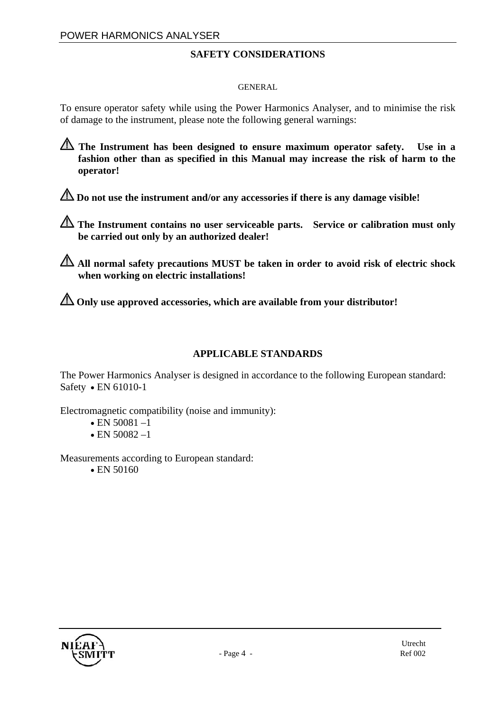#### **SAFETY CONSIDERATIONS**

#### GENERAL

To ensure operator safety while using the Power Harmonics Analyser, and to minimise the risk of damage to the instrument, please note the following general warnings:

**The Instrument has been designed to ensure maximum operator safety. Use in a fashion other than as specified in this Manual may increase the risk of harm to the operator!**

**Do not use the instrument and/or any accessories if there is any damage visible!**

**The Instrument contains no user serviceable parts. Service or calibration must only be carried out only by an authorized dealer!**

**All normal safety precautions MUST be taken in order to avoid risk of electric shock when working on electric installations!** 

**Only use approved accessories, which are available from your distributor!**

#### **APPLICABLE STANDARDS**

The Power Harmonics Analyser is designed in accordance to the following European standard: Safety • EN 61010-1

Electromagnetic compatibility (noise and immunity):

- EN 50081 $-1$
- EN 50082 $-1$

Measurements according to European standard:

• EN 50160

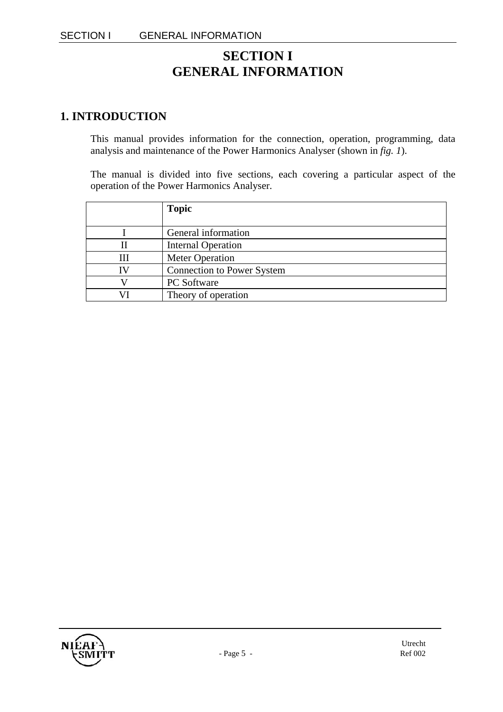### **SECTION I GENERAL INFORMATION**

### **1. INTRODUCTION**

This manual provides information for the connection, operation, programming, data analysis and maintenance of the Power Harmonics Analyser (shown in *fig. 1*).

The manual is divided into five sections, each covering a particular aspect of the operation of the Power Harmonics Analyser.

|    | <b>Topic</b>                      |
|----|-----------------------------------|
|    |                                   |
|    | General information               |
| Н  | <b>Internal Operation</b>         |
| Ш  | <b>Meter Operation</b>            |
| IV | <b>Connection to Power System</b> |
|    | PC Software                       |
|    | Theory of operation               |

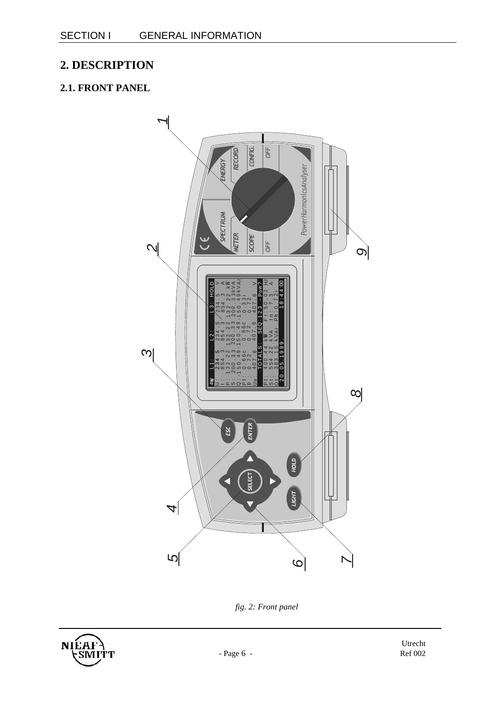### **2. DESCRIPTION**

### **2.1. FRONT PANEL**



*fig. 2: Front panel* 

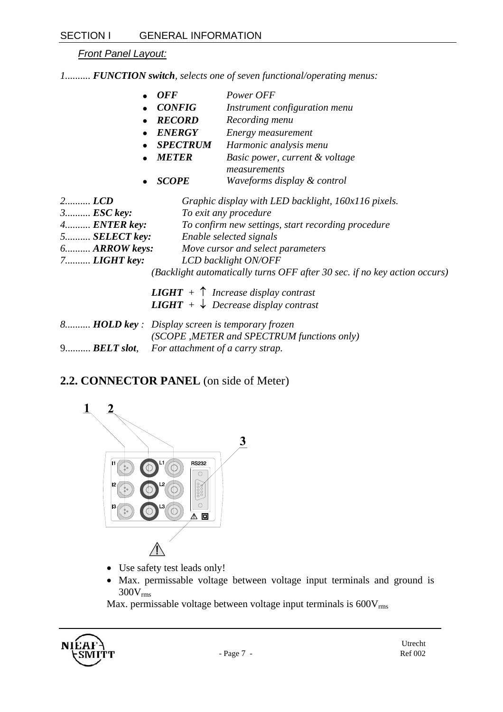*Front Panel Layout:*

*1.......... FUNCTION switch, selects one of seven functional/operating menus:* 

- *OFF Power OFF*
- *CONFIG Instrument configuration menu*
- *RECORD Recording menu*
- *ENERGY Energy measurement*
- *SPECTRUM Harmonic analysis menu*
- *METER Basic power, current & voltage measurements*
- *SCOPE Waveforms display & control*

| $2$ $LCD$             | Graphic display with LED backlight, 160x116 pixels.                       |
|-----------------------|---------------------------------------------------------------------------|
| $3$ <i>ESC</i> key:   | To exit any procedure                                                     |
| $4$ <b>ENTER</b> key: | To confirm new settings, start recording procedure                        |
| $5$ SELECT key:       | Enable selected signals                                                   |
| $6$ $ARROW$ keys:     | Move cursor and select parameters                                         |
| $7$ LIGHT key:        | LCD backlight ON/OFF                                                      |
|                       | (Backlight automatically turns OFF after 30 sec. if no key action occurs) |

| <b>LIGHT</b> + $\uparrow$ Increase display contrast<br><b>LIGHT</b> + $\downarrow$ Decrease display contrast |
|--------------------------------------------------------------------------------------------------------------|
| 8 <b>HOLD key</b> : Display screen is temporary frozen<br>(SCOPE, METER and SPECTRUM functions only)         |

9.......... *BELT slot, For attachment of a carry strap.*

### **2.2. CONNECTOR PANEL** (on side of Meter)



- Use safety test leads only!
- Max. permissable voltage between voltage input terminals and ground is 300Vrms

Max. permissable voltage between voltage input terminals is  $600V_{\rm rms}$ 

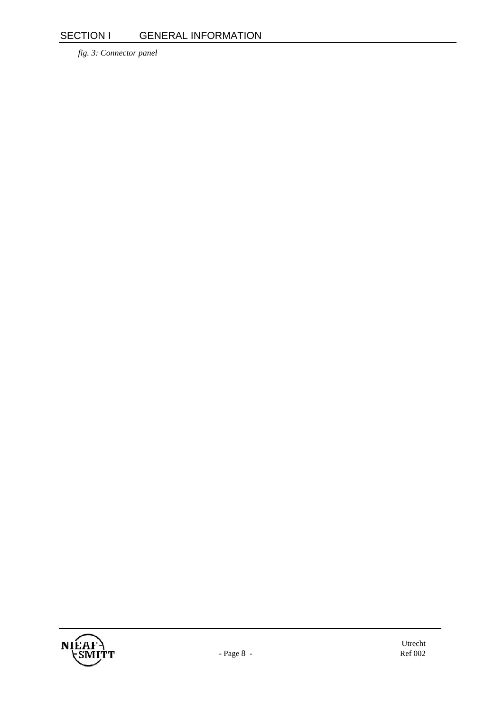*fig. 3: Connector panel* 

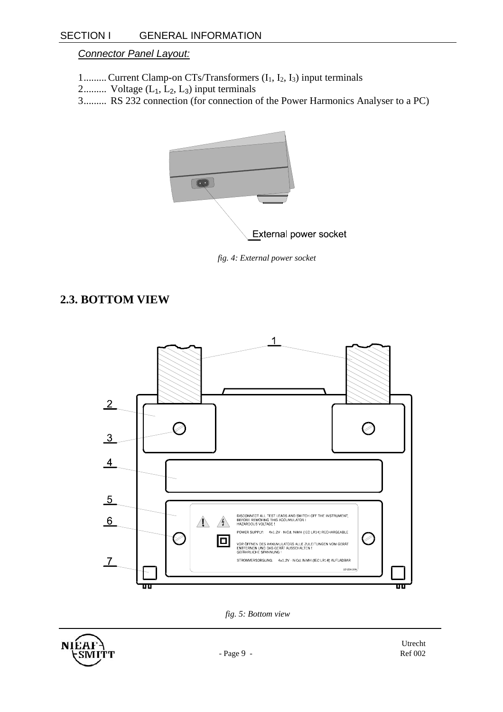#### *Connector Panel Layout:*

- 1......... Current Clamp-on CTs/Transformers  $(I_1, I_2, I_3)$  input terminals
- 2.......... Voltage  $(L_1, L_2, L_3)$  input terminals
- 3......... RS 232 connection (for connection of the Power Harmonics Analyser to a PC)



*fig. 4: External power socket* 

### **2.3. BOTTOM VIEW**



*fig. 5: Bottom view* 

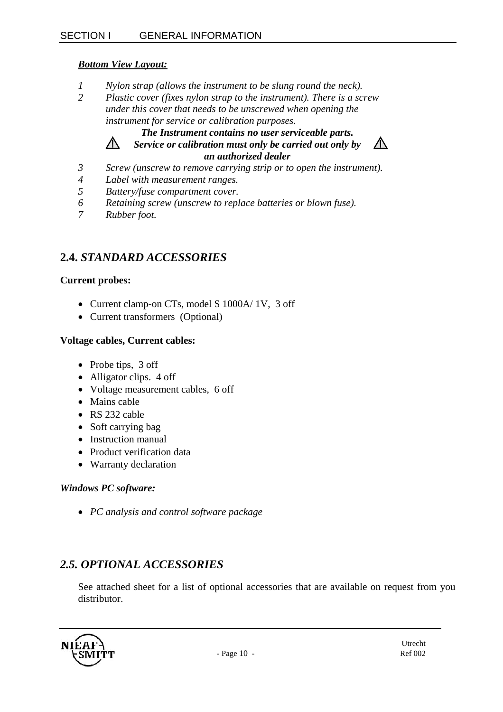#### *Bottom View Layout:*

- *1 Nylon strap (allows the instrument to be slung round the neck).*
- *2 Plastic cover (fixes nylon strap to the instrument). There is a screw under this cover that needs to be unscrewed when opening the instrument for service or calibration purposes.*

#### *The Instrument contains no user serviceable parts. Service or calibration must only be carried out only by*

*an authorized dealer*



- *3 Screw (unscrew to remove carrying strip or to open the instrument).*
- *4 Label with measurement ranges.*
- *5 Battery/fuse compartment cover.*
- *6 Retaining screw (unscrew to replace batteries or blown fuse).*
- *7 Rubber foot.*

 $\bigwedge$ 

### **2.4.** *STANDARD ACCESSORIES*

#### **Current probes:**

- Current clamp-on CTs, model S 1000A/ 1V, 3 off
- Current transformers (Optional)

#### **Voltage cables, Current cables:**

- Probe tips, 3 off
- Alligator clips. 4 off
- Voltage measurement cables, 6 off
- Mains cable
- RS 232 cable
- Soft carrying bag
- Instruction manual
- Product verification data
- Warranty declaration

#### *Windows PC software:*

• *PC analysis and control software package* 

### *2.5. OPTIONAL ACCESSORIES*

See attached sheet for a list of optional accessories that are available on request from you distributor.

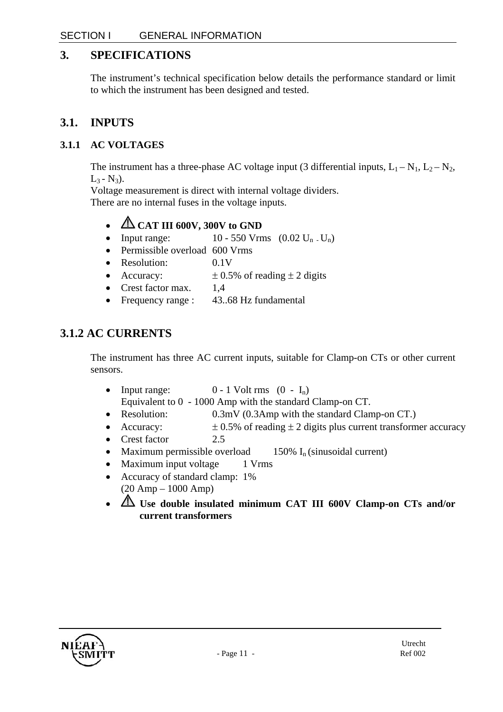### **3. SPECIFICATIONS**

The instrument's technical specification below details the performance standard or limit to which the instrument has been designed and tested.

### **3.1. INPUTS**

### **3.1.1 AC VOLTAGES**

The instrument has a three-phase AC voltage input (3 differential inputs,  $L_1 - N_1$ ,  $L_2 - N_2$ ,  $L_3 - N_3$ ).

Voltage measurement is direct with internal voltage dividers. There are no internal fuses in the voltage inputs.

- **CAT III 600V, 300V to GND**
- Input range:  $10 550$  Vrms  $(0.02 \text{ U}_n \cdot \text{U}_n)$
- Permissible overload 600 Vrms
- Resolution: 0.1V
- Accuracy:  $\pm 0.5\%$  of reading  $\pm 2$  digits
- Crest factor max. 1.4
- Frequency range : 43..68 Hz fundamental

### **3.1.2 AC CURRENTS**

The instrument has three AC current inputs, suitable for Clamp-on CTs or other current sensors.

• Input range:  $0 - 1$  Volt rms  $(0 - I_n)$ 

Equivalent to 0 - 1000 Amp with the standard Clamp-on CT.

- Resolution: 0.3mV (0.3Amp with the standard Clamp-on CT.)
- Accuracy:  $\pm 0.5\%$  of reading  $\pm 2$  digits plus current transformer accuracy
- Crest factor 2.5
- Maximum permissible overload  $150\%$  I<sub>n</sub> (sinusoidal current)
- Maximum input voltage 1 Vrms
- Accuracy of standard clamp: 1% (20 Amp – 1000 Amp)
- **Use double insulated minimum CAT III 600V Clamp-on CTs and/or current transformers**

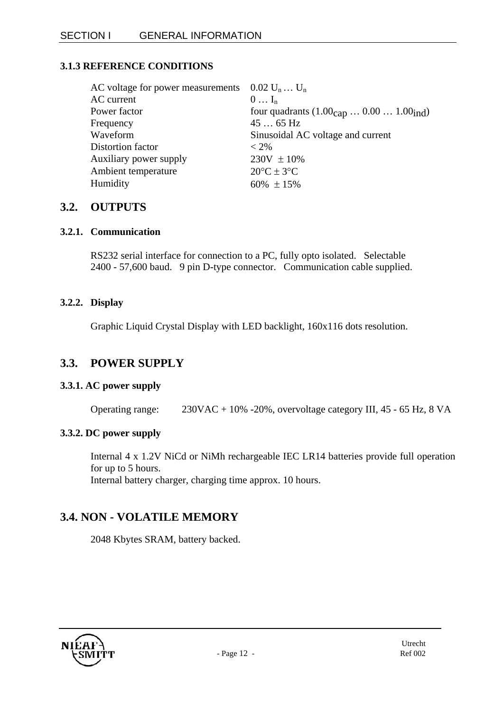#### **3.1.3 REFERENCE CONDITIONS**

| AC voltage for power measurements | $0.02 U_n  U_n$                                                         |
|-----------------------------------|-------------------------------------------------------------------------|
| AC current                        | $0 \ldots I_n$                                                          |
| Power factor                      | four quadrants $(1.00_{\text{cap}} \dots 0.00 \dots 1.00_{\text{ind}})$ |
| Frequency                         | $4565$ Hz                                                               |
| Waveform                          | Sinusoidal AC voltage and current                                       |
| Distortion factor                 | $< 2\%$                                                                 |
| Auxiliary power supply            | $230V \pm 10\%$                                                         |
| Ambient temperature               | $20^{\circ}C \pm 3^{\circ}C$                                            |
| Humidity                          | $60\% \pm 15\%$                                                         |

#### **3.2. OUTPUTS**

#### **3.2.1. Communication**

RS232 serial interface for connection to a PC, fully opto isolated. Selectable 2400 - 57,600 baud. 9 pin D-type connector. Communication cable supplied.

#### **3.2.2. Display**

Graphic Liquid Crystal Display with LED backlight, 160x116 dots resolution.

### **3.3. POWER SUPPLY**

#### **3.3.1. AC power supply**

Operating range: 230VAC + 10% -20%, overvoltage category III, 45 - 65 Hz, 8 VA

#### **3.3.2. DC power supply**

Internal 4 x 1.2V NiCd or NiMh rechargeable IEC LR14 batteries provide full operation for up to 5 hours. Internal battery charger, charging time approx. 10 hours.

### **3.4. NON - VOLATILE MEMORY**

2048 Kbytes SRAM, battery backed.

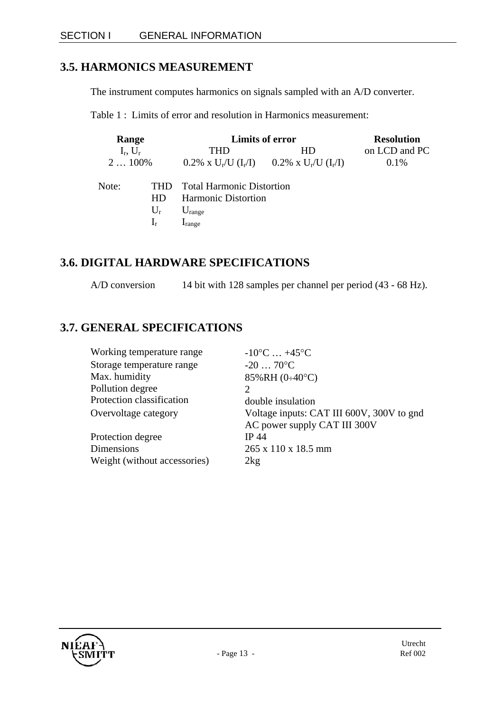### **3.5. HARMONICS MEASUREMENT**

The instrument computes harmonics on signals sampled with an A/D converter.

Table 1 : Limits of error and resolution in Harmonics measurement:

| Range                                             |       | Limits of error            |                                                               | <b>Resolution</b> |  |
|---------------------------------------------------|-------|----------------------------|---------------------------------------------------------------|-------------------|--|
| $I_r$ , $U_r$                                     |       | THD                        | HD.                                                           | on LCD and PC     |  |
| $2100\%$                                          |       |                            | $0.2\% \times U_r/U$ $(I_r/I)$ $0.2\% \times U_r/U$ $(I_r/I)$ | 0.1%              |  |
| Note:<br><b>Total Harmonic Distortion</b><br>THD. |       |                            |                                                               |                   |  |
|                                                   | HD.   | <b>Harmonic Distortion</b> |                                                               |                   |  |
|                                                   | $U_r$ | $U_{\text{range}}$         |                                                               |                   |  |
|                                                   | $I_r$ | $I_{range}$                |                                                               |                   |  |

### **3.6. DIGITAL HARDWARE SPECIFICATIONS**

A/D conversion 14 bit with 128 samples per channel per period (43 - 68 Hz).

### **3.7. GENERAL SPECIFICATIONS**

| Working temperature range    | $-10^{\circ}$ C $+45^{\circ}$ C           |
|------------------------------|-------------------------------------------|
| Storage temperature range    | $-2070$ °C                                |
| Max. humidity                | 85%RH (0÷40°C)                            |
| Pollution degree             | $\mathcal{D}$                             |
| Protection classification    | double insulation                         |
| Overvoltage category         | Voltage inputs: CAT III 600V, 300V to gnd |
|                              | AC power supply CAT III 300V              |
| Protection degree            | <b>IP 44</b>                              |
| Dimensions                   | 265 x 110 x 18.5 mm                       |
| Weight (without accessories) | 2kg                                       |

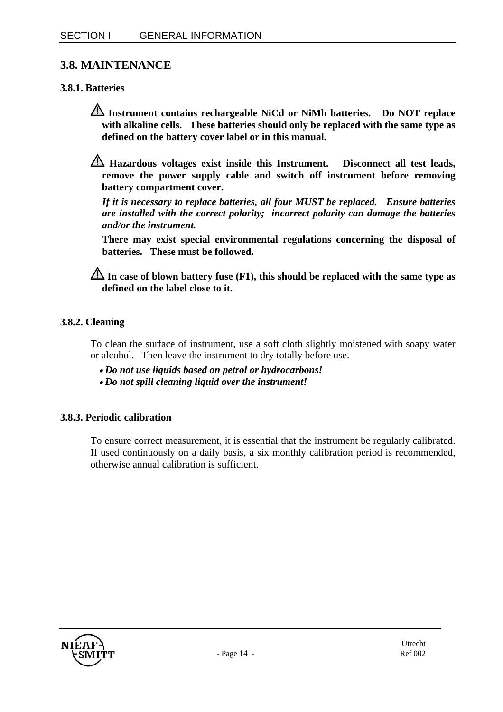### **3.8. MAINTENANCE**

#### **3.8.1. Batteries**

- **Instrument contains rechargeable NiCd or NiMh batteries. Do NOT replace with alkaline cells. These batteries should only be replaced with the same type as defined on the battery cover label or in this manual.**
- **Hazardous voltages exist inside this Instrument. Disconnect all test leads, remove the power supply cable and switch off instrument before removing battery compartment cover.**

*If it is necessary to replace batteries, all four MUST be replaced. Ensure batteries are installed with the correct polarity; incorrect polarity can damage the batteries and/or the instrument.* 

**There may exist special environmental regulations concerning the disposal of batteries. These must be followed.** 

**In case of blown battery fuse (F1), this should be replaced with the same type as defined on the label close to it.** 

#### **3.8.2. Cleaning**

To clean the surface of instrument, use a soft cloth slightly moistened with soapy water or alcohol. Then leave the instrument to dry totally before use.

- • *Do not use liquids based on petrol or hydrocarbons!*
- • *Do not spill cleaning liquid over the instrument!*

#### **3.8.3. Periodic calibration**

To ensure correct measurement, it is essential that the instrument be regularly calibrated. If used continuously on a daily basis, a six monthly calibration period is recommended, otherwise annual calibration is sufficient.

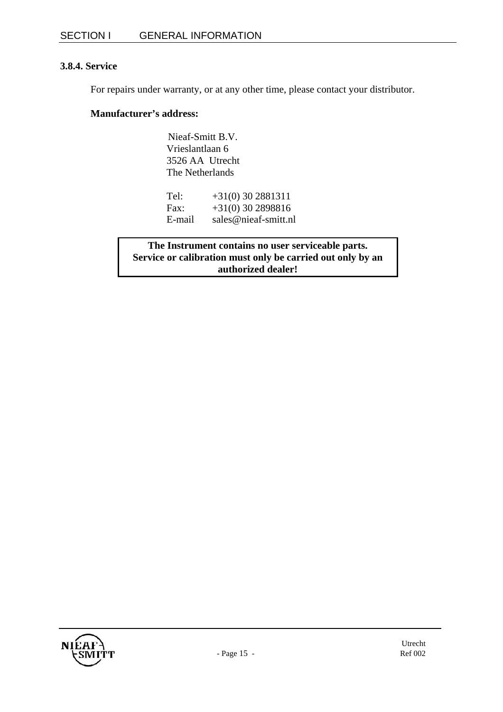#### **3.8.4. Service**

For repairs under warranty, or at any other time, please contact your distributor.

#### **Manufacturer's address:**

Nieaf-Smitt B.V. Vrieslantlaan 6 3526 AA Utrecht The Netherlands

| Tel:   | $+31(0)$ 30 2881311  |
|--------|----------------------|
| Fax:   | $+31(0)$ 30 2898816  |
| E-mail | sales@nieaf-smitt.nl |

**The Instrument contains no user serviceable parts. Service or calibration must only be carried out only by an authorized dealer!**

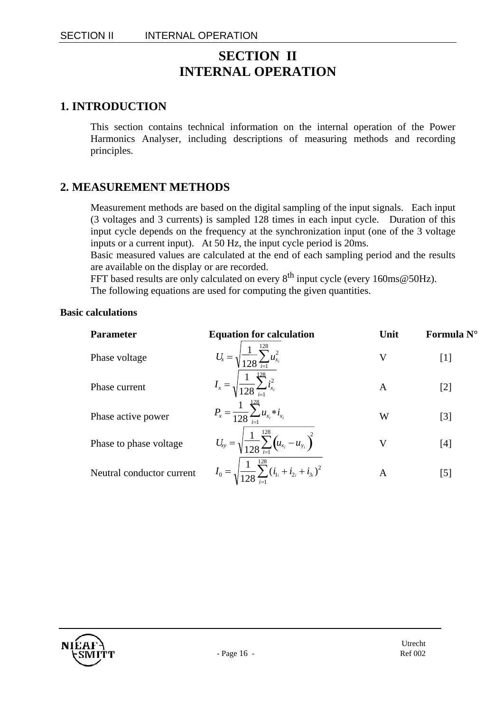### **SECTION II INTERNAL OPERATION**

### **1. INTRODUCTION**

This section contains technical information on the internal operation of the Power Harmonics Analyser, including descriptions of measuring methods and recording principles.

### **2. MEASUREMENT METHODS**

Measurement methods are based on the digital sampling of the input signals. Each input (3 voltages and 3 currents) is sampled 128 times in each input cycle. Duration of this input cycle depends on the frequency at the synchronization input (one of the 3 voltage inputs or a current input). At 50 Hz, the input cycle period is 20ms.

Basic measured values are calculated at the end of each sampling period and the results are available on the display or are recorded.

FFT based results are only calculated on every  $8^{th}$  input cycle (every 160ms@50Hz). The following equations are used for computing the given quantities.

#### **Basic calculations**

| <b>Parameter</b>          | <b>Equation for calculation</b>                                            | Unit | Formula N°        |
|---------------------------|----------------------------------------------------------------------------|------|-------------------|
| Phase voltage             | $U_x = \sqrt{\frac{1}{128} \sum_{i=1}^{128} u_{x_i}^2}$                    | V    | $[1]$             |
| Phase current             | $I_x = \sqrt{\frac{1}{128} \sum_{i=1}^{128} i_{x_i}^2}$                    | A    | [2]               |
| Phase active power        | $P_x = \frac{1}{128} \sum_{i=1}^{128} u_{x_i} * i_{x_i}$                   | W    | $\lceil 3 \rceil$ |
| Phase to phase voltage    | $U_{xy} = \sqrt{\frac{1}{128} \sum_{i=1}^{128} (u_{x_i} - u_{y_i})^2}$     | V    | [4]               |
| Neutral conductor current | $I_0 = \sqrt{\frac{1}{128} \sum_{i=1}^{128} (i_{1i} + i_{2i} + i_{3i})^2}$ | A    | $[5]$             |

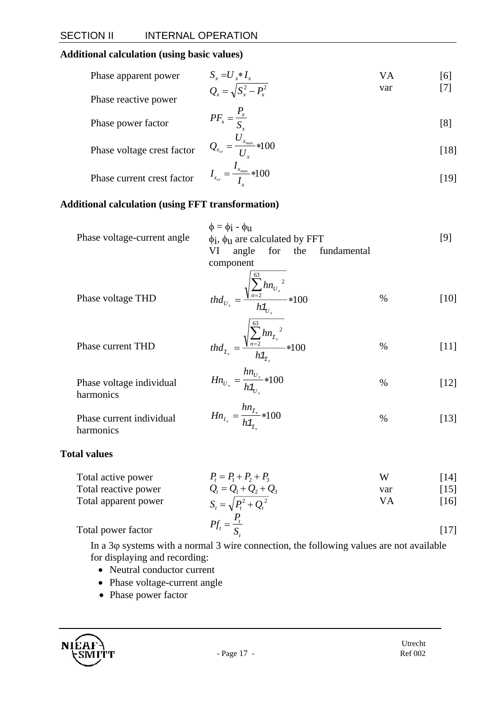#### **Additional calculation (using basic values)**

Phase power factor

| Phase apparent power | $S_r = U_r * I_r$            | VА  | [6] |
|----------------------|------------------------------|-----|-----|
|                      | $Q_x = \sqrt{S_x^2 - P_x^2}$ | var |     |
| Phase reactive power |                              |     |     |

$$
PF_x = \frac{P_x}{S_x} \tag{8}
$$

Phase voltage crest factor 
$$
Q_{x_{cr}} = \frac{U_{x_{max}}}{U_x} *100
$$
 [18]

Phase current crest factor 
$$
I_{x_{cr}} = \frac{I_{x_{\text{max}}}}{I_x} * 100
$$
 [19]

#### **Additional calculation (using FFT transformation)**

| Phase voltage-current angle | $\phi = \phi$ i - $\phi$ <sub>U</sub><br>$\phi$ <sub>i</sub> , $\phi$ <sub>u</sub> are calculated by FFT<br>for the fundamental<br>angle<br>VI<br>component |      | [9]  |
|-----------------------------|-------------------------------------------------------------------------------------------------------------------------------------------------------------|------|------|
| Phase voltage THD           | $hn_{U_x}$<br>$n=2$<br>$-*100$<br>th $d_{U_x}$<br>$h1_U$<br>63                                                                                              | $\%$ | [10] |

Phase current THD 
$$
thd_{x_x} = \frac{\sqrt{\sum_{n=2}^{n} h n_{x_x}^2}}{h_{x_x}} * 100 \qquad \qquad % \qquad [11]
$$

$$
Hn_{U_x} = \frac{hn_{U_x}}{h1_{U_x}} * 100 \tag{12}
$$

Phase current individual 
$$
Hn_{I_x} = \frac{hn_{I_x}}{h1_{I_x}} \times 100
$$
 % (13) harmonics

#### **Total values**

harmonics

Phase voltage individual

| Total active power   | $P_1 = P_1 + P_2 + P_3$      | Ŵ   | [14]               |
|----------------------|------------------------------|-----|--------------------|
| Total reactive power | $Q_i = Q_1 + Q_2 + Q_3$      | var | $\lceil 15 \rceil$ |
| Total apparent power | $S_t = \sqrt{P_t^2 + Q_t^2}$ | VА  | [16]               |
|                      |                              |     |                    |
| Total power factor   | $Pf_t = \frac{I_t}{S}$       |     | [17]               |

In a 3ϕ systems with a normal 3 wire connection, the following values are not available for displaying and recording:

- Neutral conductor current
- Phase voltage-current angle
- Phase power factor

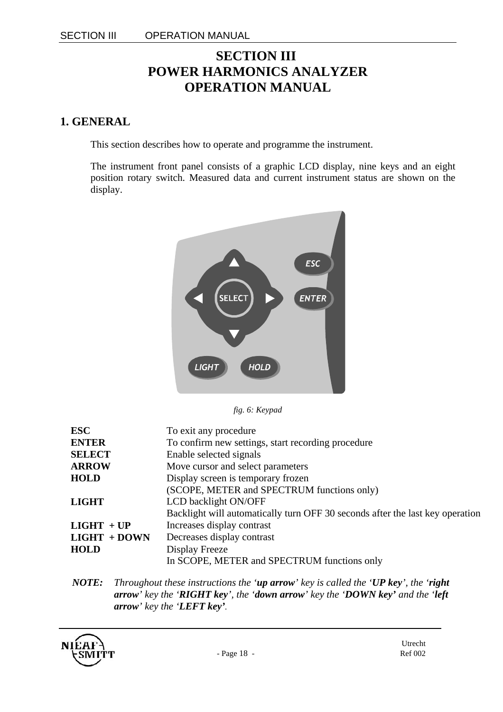### **SECTION III POWER HARMONICS ANALYZER OPERATION MANUAL**

### **1. GENERAL**

This section describes how to operate and programme the instrument.

The instrument front panel consists of a graphic LCD display, nine keys and an eight position rotary switch. Measured data and current instrument status are shown on the display.



*fig. 6: Keypad* 

| <b>ESC</b>     | To exit any procedure                                                         |
|----------------|-------------------------------------------------------------------------------|
| <b>ENTER</b>   | To confirm new settings, start recording procedure                            |
| <b>SELECT</b>  | Enable selected signals                                                       |
| <b>ARROW</b>   | Move cursor and select parameters                                             |
| <b>HOLD</b>    | Display screen is temporary frozen                                            |
|                | (SCOPE, METER and SPECTRUM functions only)                                    |
| <b>LIGHT</b>   | LCD backlight ON/OFF                                                          |
|                | Backlight will automatically turn OFF 30 seconds after the last key operation |
| $LIGHT + UP$   | Increases display contrast                                                    |
| $LIGHT + DOWN$ | Decreases display contrast                                                    |
| <b>HOLD</b>    | Display Freeze                                                                |
|                | In SCOPE, METER and SPECTRUM functions only                                   |

*NOTE: Throughout these instructions the 'up arrow' key is called the 'UP key', the 'right arrow' key the 'RIGHT key', the 'down arrow' key the 'DOWN key' and the 'left arrow' key the 'LEFT key'.*

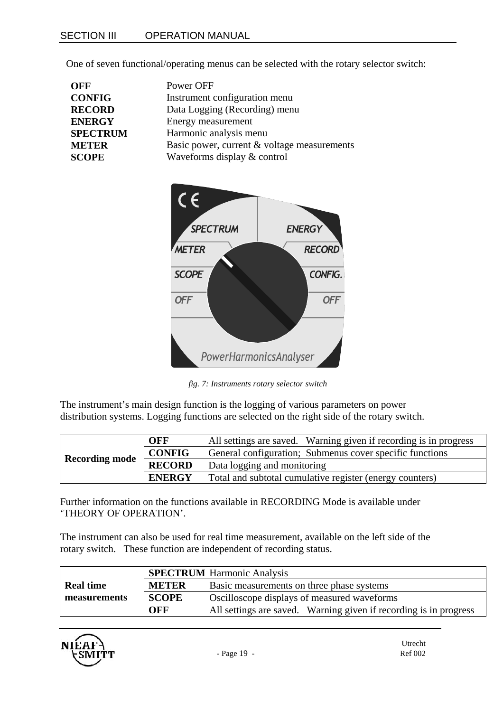One of seven functional/operating menus can be selected with the rotary selector switch:

| <b>OFF</b>      | Power OFF                                   |
|-----------------|---------------------------------------------|
| <b>CONFIG</b>   | Instrument configuration menu               |
| <b>RECORD</b>   | Data Logging (Recording) menu               |
| <b>ENERGY</b>   | Energy measurement                          |
| <b>SPECTRUM</b> | Harmonic analysis menu                      |
| <b>METER</b>    | Basic power, current & voltage measurements |
| <b>SCOPE</b>    | Waveforms display & control                 |



*fig. 7: Instruments rotary selector switch* 

The instrument's main design function is the logging of various parameters on power distribution systems. Logging functions are selected on the right side of the rotary switch.

|                       | <b>OFF</b>    | All settings are saved. Warning given if recording is in progress |
|-----------------------|---------------|-------------------------------------------------------------------|
| <b>Recording mode</b> | <b>CONFIG</b> | General configuration; Submenus cover specific functions          |
|                       | <b>RECORD</b> | Data logging and monitoring                                       |
|                       | <b>ENERGY</b> | Total and subtotal cumulative register (energy counters)          |

Further information on the functions available in RECORDING Mode is available under 'THEORY OF OPERATION'.

The instrument can also be used for real time measurement, available on the left side of the rotary switch. These function are independent of recording status.

|                  |              | <b>SPECTRUM</b> Harmonic Analysis                                 |  |
|------------------|--------------|-------------------------------------------------------------------|--|
| <b>Real time</b> | <b>METER</b> | Basic measurements on three phase systems                         |  |
| measurements     | <b>SCOPE</b> | Oscilloscope displays of measured waveforms                       |  |
|                  | OFF          | All settings are saved. Warning given if recording is in progress |  |

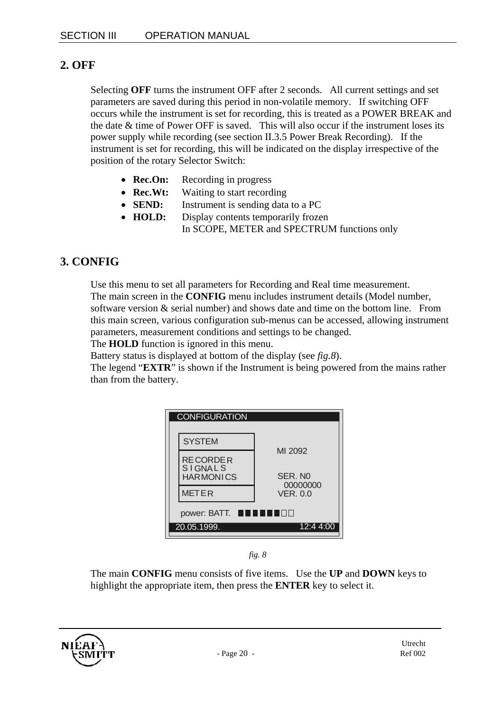### **2. OFF**

Selecting **OFF** turns the instrument OFF after 2 seconds. All current settings and set parameters are saved during this period in non-volatile memory. If switching OFF occurs while the instrument is set for recording, this is treated as a POWER BREAK and the date  $&$  time of Power OFF is saved. This will also occur if the instrument loses its power supply while recording (see section II.3.5 Power Break Recording). If the instrument is set for recording, this will be indicated on the display irrespective of the position of the rotary Selector Switch:

- **Rec.On:** Recording in progress
- **Rec.Wt:** Waiting to start recording
- **SEND:** Instrument is sending data to a PC
- **HOLD:** Display contents temporarily frozen In SCOPE, METER and SPECTRUM functions only

### **3. CONFIG**

Use this menu to set all parameters for Recording and Real time measurement. The main screen in the **CONFIG** menu includes instrument details (Model number, software version & serial number) and shows date and time on the bottom line. From this main screen, various configuration sub-menus can be accessed, allowing instrument parameters, measurement conditions and settings to be changed.

The **HOLD** function is ignored in this menu.

Battery status is displayed at bottom of the display (see *fig.8*).

The legend "**EXTR**" is shown if the Instrument is being powered from the mains rather than from the battery.

| <b>CONFIGURATION</b>                             |                             |
|--------------------------------------------------|-----------------------------|
| <b>SYSTEM</b>                                    |                             |
| RE CORDE R<br><b>SIGNALS</b><br><b>HARMONICS</b> | MI 2092<br>SER. NO          |
| <b>METER</b>                                     | 00000000<br><b>VER. 0.0</b> |
| power: BATT. ■■                                  |                             |
| 20.05.1999.                                      | 12:4 4:00                   |

*fig. 8* 

The main **CONFIG** menu consists of five items. Use the **UP** and **DOWN** keys to highlight the appropriate item, then press the **ENTER** key to select it.

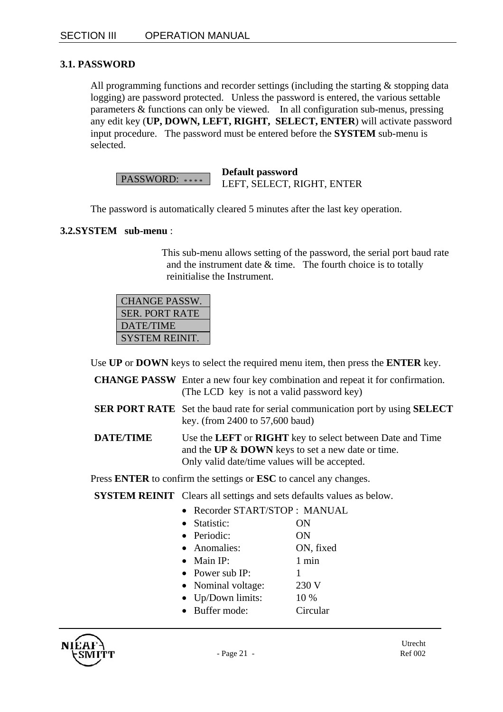#### **3.1. PASSWORD**

All programming functions and recorder settings (including the starting & stopping data logging) are password protected. Unless the password is entered, the various settable parameters & functions can only be viewed. In all configuration sub-menus, pressing any edit key (**UP, DOWN, LEFT, RIGHT, SELECT, ENTER**) will activate password input procedure. The password must be entered before the **SYSTEM** sub-menu is selected.

PASSWORD: \*\*\*\* **Default password**  LEFT, SELECT, RIGHT, ENTER

The password is automatically cleared 5 minutes after the last key operation.

#### **3.2.SYSTEM sub-menu** :

This sub-menu allows setting of the password, the serial port baud rate and the instrument date  $&$  time. The fourth choice is to totally reinitialise the Instrument.

| <b>CHANGE PASSW.</b>  |
|-----------------------|
| <b>SER. PORT RATE</b> |
| DATE/TIME             |
| <b>SYSTEM REINIT.</b> |

Use **UP** or **DOWN** keys to select the required menu item, then press the **ENTER** key.

- **CHANGE PASSW** Enter a new four key combination and repeat it for confirmation. (The LCD key is not a valid password key)
- **SER PORT RATE** Set the baud rate for serial communication port by using **SELECT**  key. (from 2400 to 57,600 baud)
- **DATE/TIME** Use the **LEFT** or **RIGHT** key to select between Date and Time and the **UP** & **DOWN** keys to set a new date or time. Only valid date/time values will be accepted.

Press **ENTER** to confirm the settings or **ESC** to cancel any changes.

**SYSTEM REINIT** Clears all settings and sets defaults values as below.

- Recorder START/STOP : MANUAL
- Statistic: ON • Periodic: ON • Anomalies: ON, fixed • Main IP:  $1 \text{ min}$ • Power sub IP:  $1$ • Nominal voltage: 230 V
- Up/Down limits: 10 %
- Buffer mode: Circular

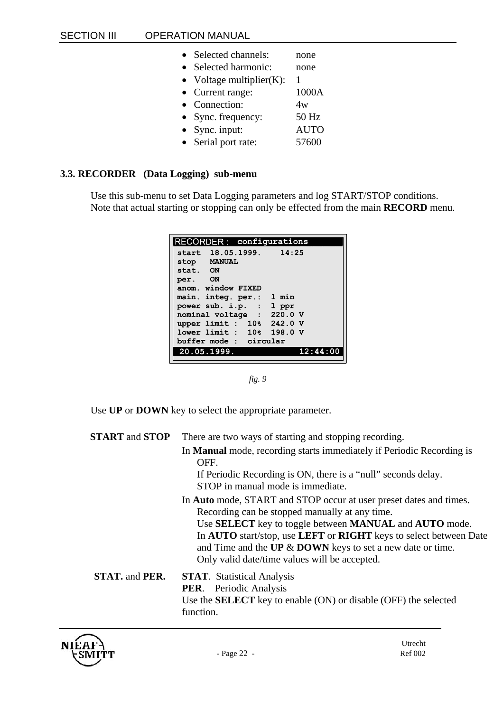| Selected channels:           | none        |
|------------------------------|-------------|
| Selected harmonic:           | none        |
| • Voltage multiplier $(K)$ : |             |
| • Current range:             | 1000A       |
| • Connection:                | 4w          |
| Sync. frequency:             | 50 Hz       |
| $\bullet$ Sync. input:       | <b>AUTO</b> |
| • Serial port rate:          | 57600       |
|                              |             |

#### **3.3. RECORDER (Data Logging) sub-menu**

Use this sub-menu to set Data Logging parameters and log START/STOP conditions. Note that actual starting or stopping can only be effected from the main **RECORD** menu.

| RECORDER: configurations  |          |
|---------------------------|----------|
| start 18.05.1999. 14:25   |          |
| stop MANUAL               |          |
| stat. ON                  |          |
| per. ON                   |          |
| anom, window FIXED        |          |
| main. integ. per.: 1 min  |          |
| power sub. i.p. $: 1$ ppr |          |
| nominal voltage : 220.0 V |          |
| upper limit : 10% 242.0 V |          |
| lower limit : 10% 198.0 V |          |
| buffer mode : circular    |          |
| 20.05.1999.               | 12:44:00 |
|                           |          |

*fig. 9* 

Use **UP** or **DOWN** key to select the appropriate parameter.

| <b>START</b> and <b>STOP</b> | There are two ways of starting and stopping recording.                                                                                                                                                                                                                          |
|------------------------------|---------------------------------------------------------------------------------------------------------------------------------------------------------------------------------------------------------------------------------------------------------------------------------|
|                              | In Manual mode, recording starts immediately if Periodic Recording is<br>OFF.                                                                                                                                                                                                   |
|                              | If Periodic Recording is ON, there is a "null" seconds delay.<br>STOP in manual mode is immediate.                                                                                                                                                                              |
|                              | In <b>Auto</b> mode, START and STOP occur at user preset dates and times.<br>Recording can be stopped manually at any time.<br>Use <b>SELECT</b> key to toggle between <b>MANUAL</b> and <b>AUTO</b> mode.<br>In AUTO start/stop, use LEFT or RIGHT keys to select between Date |
|                              | and Time and the $UP & DOWN$ keys to set a new date or time.<br>Only valid date/time values will be accepted.                                                                                                                                                                   |
| <b>STAT.</b> and <b>PER.</b> | <b>STAT.</b> Statistical Analysis<br><b>PER.</b> Periodic Analysis<br>Use the <b>SELECT</b> key to enable (ON) or disable (OFF) the selected<br>function.                                                                                                                       |

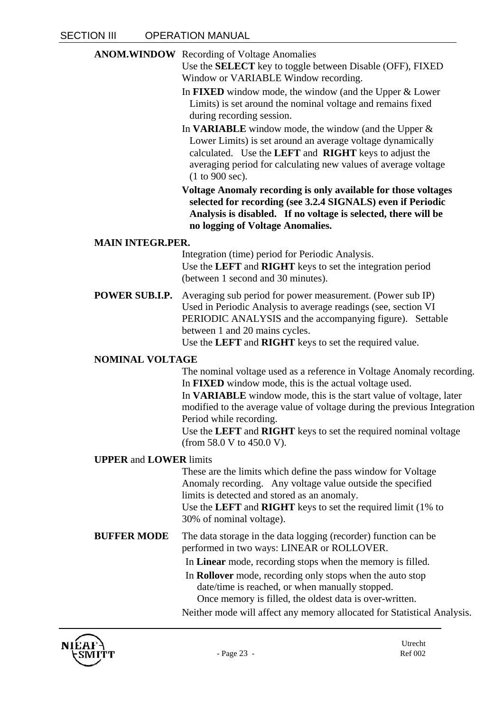**ANOM.WINDOW** Recording of Voltage Anomalies

Use the **SELECT** key to toggle between Disable (OFF), FIXED Window or VARIABLE Window recording.

- In **FIXED** window mode, the window (and the Upper & Lower Limits) is set around the nominal voltage and remains fixed during recording session.
- In **VARIABLE** window mode, the window (and the Upper & Lower Limits) is set around an average voltage dynamically calculated. Use the **LEFT** and **RIGHT** keys to adjust the averaging period for calculating new values of average voltage (1 to 900 sec).
- **Voltage Anomaly recording is only available for those voltages selected for recording (see 3.2.4 SIGNALS) even if Periodic Analysis is disabled. If no voltage is selected, there will be no logging of Voltage Anomalies.**

#### **MAIN INTEGR.PER.**

Integration (time) period for Periodic Analysis. Use the **LEFT** and **RIGHT** keys to set the integration period (between 1 second and 30 minutes).

**POWER SUB.I.P.** Averaging sub period for power measurement. (Power sub IP) Used in Periodic Analysis to average readings (see, section VI PERIODIC ANALYSIS and the accompanying figure). Settable between 1 and 20 mains cycles.

Use the **LEFT** and **RIGHT** keys to set the required value.

#### **NOMINAL VOLTAGE**

The nominal voltage used as a reference in Voltage Anomaly recording. In **FIXED** window mode, this is the actual voltage used.

In **VARIABLE** window mode, this is the start value of voltage, later modified to the average value of voltage during the previous Integration Period while recording.

Use the **LEFT** and **RIGHT** keys to set the required nominal voltage (from 58.0 V to 450.0 V).

#### **UPPER** and **LOWER** limits

These are the limits which define the pass window for Voltage Anomaly recording. Any voltage value outside the specified limits is detected and stored as an anomaly.

Use the **LEFT** and **RIGHT** keys to set the required limit (1% to 30% of nominal voltage).

- **BUFFER MODE** The data storage in the data logging (recorder) function can be performed in two ways: LINEAR or ROLLOVER.
	- In **Linear** mode, recording stops when the memory is filled.
	- In **Rollover** mode, recording only stops when the auto stop date/time is reached, or when manually stopped. Once memory is filled, the oldest data is over-written.
	- Neither mode will affect any memory allocated for Statistical Analysis.

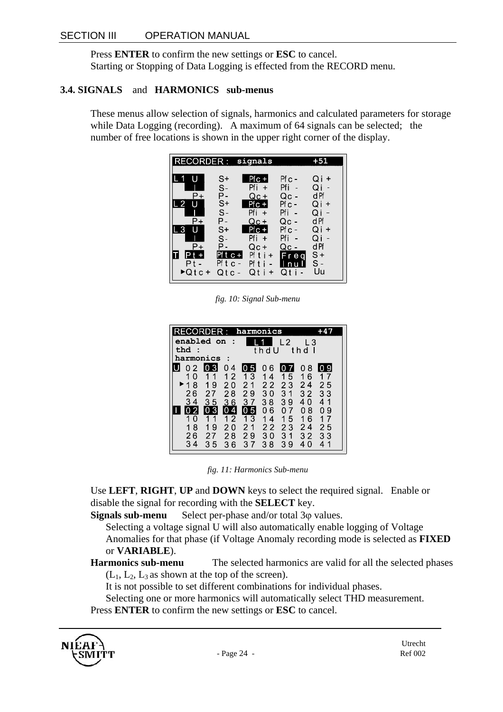Press **ENTER** to confirm the new settings or **ESC** to cancel. Starting or Stopping of Data Logging is effected from the RECORD menu.

#### **3.4. SIGNALS** and **HARMONICS sub-menus**

These menus allow selection of signals, harmonics and calculated parameters for storage while Data Logging (recording). A maximum of 64 signals can be selected; the number of free locations is shown in the upper right corner of the display.

*fig. 10: Signal Sub-menu* 

| CORDER :<br>enabled on<br>- 1<br>that:                                                                                                                                                                                                      | harmonics<br>thdll                                                                                              | l 2<br>l 3<br>t h d                                                                                                                                         |
|---------------------------------------------------------------------------------------------------------------------------------------------------------------------------------------------------------------------------------------------|-----------------------------------------------------------------------------------------------------------------|-------------------------------------------------------------------------------------------------------------------------------------------------------------|
| harmonics                                                                                                                                                                                                                                   |                                                                                                                 |                                                                                                                                                             |
| IO 3<br>0 <sub>2</sub><br>04<br>12<br>$\Omega$<br>1<br>11<br>19<br>$\blacktriangleright$ 18<br>20<br>26<br>28<br>27<br>34<br>3 <sub>5</sub><br>36<br>$\overline{0}3$<br>4<br>$\overline{2}$<br>1 <sub>1</sub><br>$\Omega$<br>18<br>19<br>20 | 06<br>IO 5<br>13<br>14<br>2 <sub>1</sub><br>22<br>29<br>30<br>37<br>38<br>$ 0\>5$<br>06<br>13<br>14<br>22<br>21 | 08<br>IO 9<br>16<br>15<br>24<br>23<br>25<br>3 <sub>1</sub><br>32<br>33<br>39<br>40<br>41<br>-7<br>8<br>0<br>0<br>0<br>9<br>15<br>16<br>17<br>24<br>23<br>25 |
| 26<br>28<br>27<br>34<br>35<br>36                                                                                                                                                                                                            | 29<br>30<br>37<br>38                                                                                            | 3 <sub>1</sub><br>32<br>33<br>39<br>$\Omega$<br>4<br>4                                                                                                      |

*fig. 11: Harmonics Sub-menu* 

Use **LEFT**, **RIGHT**, **UP** and **DOWN** keys to select the required signal. Enable or disable the signal for recording with the **SELECT** key.

**Signals sub-menu** Select per-phase and/or total 3 $\varphi$  values.

Selecting a voltage signal U will also automatically enable logging of Voltage Anomalies for that phase (if Voltage Anomaly recording mode is selected as **FIXED**  or **VARIABLE**).

**Harmonics sub-menu** The selected harmonics are valid for all the selected phases  $(L_1, L_2, L_3)$  as shown at the top of the screen).

It is not possible to set different combinations for individual phases.

Selecting one or more harmonics will automatically select THD measurement.

Press **ENTER** to confirm the new settings or **ESC** to cancel.

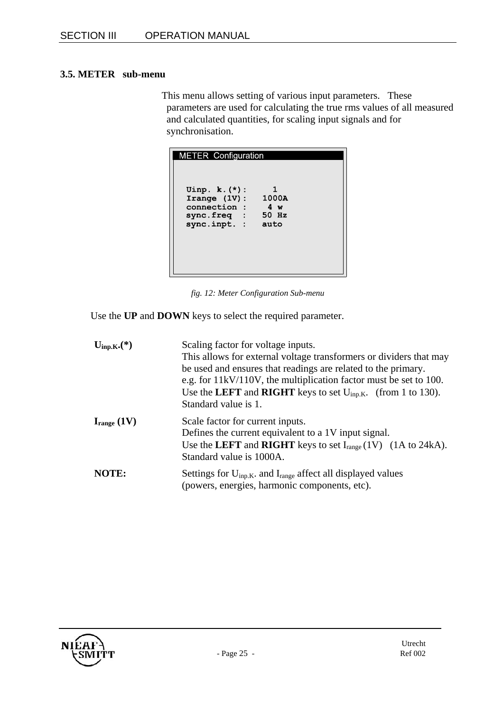#### **3.5. METER sub-menu**

This menu allows setting of various input parameters. These parameters are used for calculating the true rms values of all measured and calculated quantities, for scaling input signals and for synchronisation.

| <b>METER Configuration</b>                                                                    |              |  |
|-----------------------------------------------------------------------------------------------|--------------|--|
| Uinp. $k. (*)$ :<br>Irange $(1V)$ :<br>connection :<br>sync.freq : 50 Hz<br>sync.inpt. : auto | 1000A<br>4 w |  |

*fig. 12: Meter Configuration Sub-menu* 

Use the **UP** and **DOWN** keys to select the required parameter.

| $U_{\text{inp.K}}^{*}$ . $(*)$ | Scaling factor for voltage inputs.<br>This allows for external voltage transformers or dividers that may<br>be used and ensures that readings are related to the primary.<br>e.g. for $11kV/110V$ , the multiplication factor must be set to 100.<br>Use the LEFT and RIGHT keys to set $U_{\text{inp.K.}}$ (from 1 to 130).<br>Standard value is 1. |
|--------------------------------|------------------------------------------------------------------------------------------------------------------------------------------------------------------------------------------------------------------------------------------------------------------------------------------------------------------------------------------------------|
| $I_{range} (1V)$               | Scale factor for current inputs.<br>Defines the current equivalent to a 1V input signal.<br>Use the LEFT and RIGHT keys to set $I_{range} (1V)$ (1A to 24kA).<br>Standard value is 1000A.                                                                                                                                                            |
| NOTE:                          | Settings for $U_{\text{inp.K}}$ . and $I_{\text{range}}$ affect all displayed values<br>(powers, energies, harmonic components, etc).                                                                                                                                                                                                                |

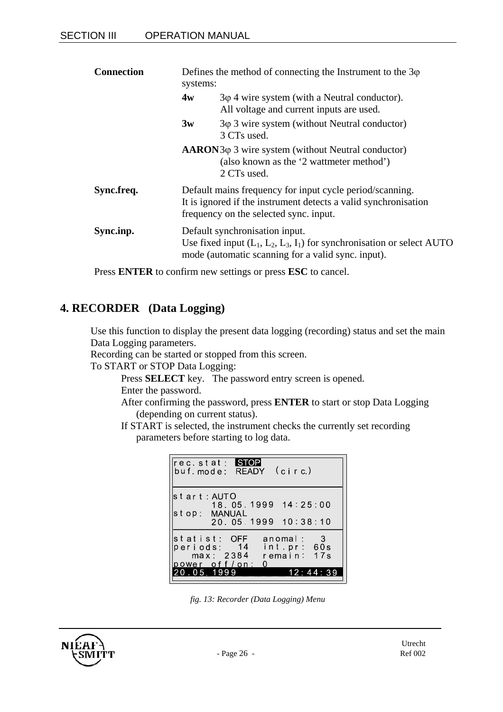| <b>Connection</b><br>systems: |    | Defines the method of connecting the Instrument to the $3\varphi$                                                                                                     |
|-------------------------------|----|-----------------------------------------------------------------------------------------------------------------------------------------------------------------------|
|                               | 4w | $3\varphi$ 4 wire system (with a Neutral conductor).<br>All voltage and current inputs are used.                                                                      |
|                               | 3w | $3\varphi$ 3 wire system (without Neutral conductor)<br>3 CTs used.                                                                                                   |
|                               |    | $AARON3\varphi$ 3 wire system (without Neutral conductor)<br>(also known as the '2 wattmeter method')<br>2 CTs used.                                                  |
| Sync.freq.                    |    | Default mains frequency for input cycle period/scanning.<br>It is ignored if the instrument detects a valid synchronisation<br>frequency on the selected sync. input. |
| Sync.inp.                     |    | Default synchronisation input.<br>Use fixed input $(L_1, L_2, L_3, I_1)$ for synchronisation or select AUTO<br>mode (automatic scanning for a valid sync. input).     |

Press **ENTER** to confirm new settings or press **ESC** to cancel.

### **4. RECORDER (Data Logging)**

Use this function to display the present data logging (recording) status and set the main Data Logging parameters.

Recording can be started or stopped from this screen.

To START or STOP Data Logging:

Press **SELECT** key. The password entry screen is opened. Enter the password.

After confirming the password, press **ENTER** to start or stop Data Logging (depending on current status).

If START is selected, the instrument checks the currently set recording parameters before starting to log data.

| rec stat: STOP<br>buf mode: READY (circ)                                |                                                               |
|-------------------------------------------------------------------------|---------------------------------------------------------------|
| lstart:AUTO<br>stop: MANUAL                                             | 18 05 1999 14 25:00<br>20 05 1999 10:38:10                    |
| statist: OFF<br>periods: 14<br>max: 2384<br>power off/on:<br>20 05 1999 | anomal:<br>$\sim$ 3<br>int pr: 60s<br>17s<br>remain:<br>2 – 4 |

*fig. 13: Recorder (Data Logging) Menu* 

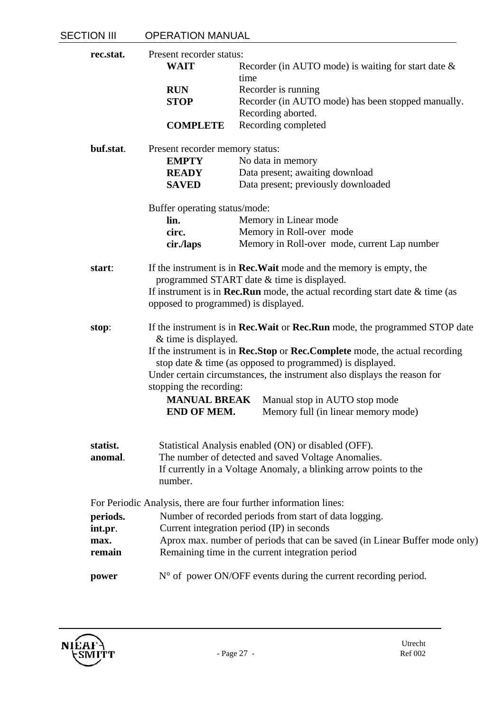| <b>SECTION III</b> | <b>OPERATION MANUAL</b>                    |                                                                                           |
|--------------------|--------------------------------------------|-------------------------------------------------------------------------------------------|
| rec.stat.          | Present recorder status:                   |                                                                                           |
|                    | <b>WAIT</b>                                | Recorder (in AUTO mode) is waiting for start date $\&$                                    |
|                    |                                            | time                                                                                      |
|                    | <b>RUN</b>                                 | Recorder is running                                                                       |
|                    | <b>STOP</b>                                | Recorder (in AUTO mode) has been stopped manually.                                        |
|                    |                                            |                                                                                           |
|                    |                                            | Recording aborted.                                                                        |
|                    | <b>COMPLETE</b>                            | Recording completed                                                                       |
| buf.stat.          | Present recorder memory status:            |                                                                                           |
|                    | <b>EMPTY</b>                               | No data in memory                                                                         |
|                    | <b>READY</b>                               | Data present; awaiting download                                                           |
|                    | <b>SAVED</b>                               | Data present; previously downloaded                                                       |
|                    |                                            |                                                                                           |
|                    | Buffer operating status/mode:<br>lin.      |                                                                                           |
|                    |                                            | Memory in Linear mode                                                                     |
|                    | circ.                                      | Memory in Roll-over mode                                                                  |
|                    | cir./laps                                  | Memory in Roll-over mode, current Lap number                                              |
| start:             |                                            | If the instrument is in <b>Rec. Wait</b> mode and the memory is empty, the                |
|                    |                                            | programmed START date & time is displayed.                                                |
|                    |                                            | If instrument is in <b>Rec.Run</b> mode, the actual recording start date $\&$ time (as    |
|                    |                                            | opposed to programmed) is displayed.                                                      |
| stop:              |                                            | If the instrument is in <b>Rec.Wait</b> or <b>Rec.Run</b> mode, the programmed STOP date  |
|                    | & time is displayed.                       |                                                                                           |
|                    |                                            | If the instrument is in <b>Rec.Stop</b> or <b>Rec.Complete</b> mode, the actual recording |
|                    |                                            | stop date & time (as opposed to programmed) is displayed.                                 |
|                    |                                            |                                                                                           |
|                    |                                            | Under certain circumstances, the instrument also displays the reason for                  |
|                    | stopping the recording:                    |                                                                                           |
|                    | <b>MANUAL BREAK</b>                        | Manual stop in AUTO stop mode                                                             |
|                    | END OF MEM.                                | Memory full (in linear memory mode)                                                       |
|                    |                                            |                                                                                           |
| statist.           |                                            | Statistical Analysis enabled (ON) or disabled (OFF).                                      |
| anomal.            |                                            | The number of detected and saved Voltage Anomalies.                                       |
|                    |                                            | If currently in a Voltage Anomaly, a blinking arrow points to the                         |
|                    | number.                                    |                                                                                           |
|                    |                                            | For Periodic Analysis, there are four further information lines:                          |
| periods.           |                                            | Number of recorded periods from start of data logging.                                    |
| int.pr.            | Current integration period (IP) in seconds |                                                                                           |
| max.               |                                            | Aprox max. number of periods that can be saved (in Linear Buffer mode only)               |
| remain             |                                            | Remaining time in the current integration period                                          |
|                    |                                            |                                                                                           |
| power              |                                            | $N^{\circ}$ of power ON/OFF events during the current recording period.                   |

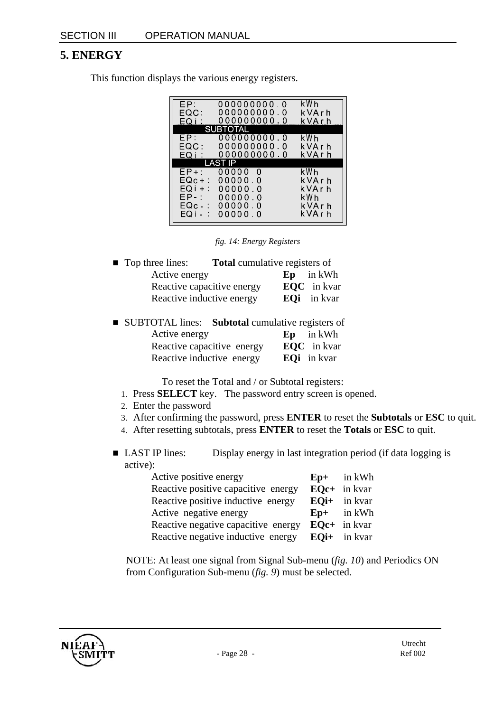### **5. ENERGY**

This function displays the various energy registers.

| 000000000000                  | kWh l                      |
|-------------------------------|----------------------------|
|                               | kVArh                      |
|                               | k VArh                     |
| SUBTOTAL                      |                            |
| EP: 000000000.0               | kWh                        |
| 000000000 0                   | k V A r h                  |
| EQ <sub>1</sub> : 000000000.0 | k V A r h                  |
| LAST IP                       |                            |
| 00000.0<br>$EP + :$           | kWh                        |
| 00000.0                       | k VArh                     |
| 00000.0                       | k VArh                     |
| $EP - : 0000000$              | kWh .                      |
| EQc - : -<br>0.0000.0         | k VArh                     |
| EQI-: 00000 0                 | kVArh                      |
|                               | 000000000.0<br>000000000.0 |

*fig. 14: Energy Registers* 

| <b>Top three lines:</b>    | <b>Total</b> cumulative registers of |                    |
|----------------------------|--------------------------------------|--------------------|
| Active energy              |                                      | $Ep$ in kWh        |
| Reactive capacitive energy |                                      | <b>EQC</b> in kvar |
| Reactive inductive energy  |                                      | <b>EQi</b> in kvar |

| ■ SUBTOTAL lines: Subtotal cumulative registers of |                    |
|----------------------------------------------------|--------------------|
| Active energy                                      | $Ep$ in kWh        |
| Reactive capacitive energy                         | <b>EQC</b> in kvar |
| Reactive inductive energy                          | <b>EQi</b> in kvar |

To reset the Total and / or Subtotal registers:

- 1. Press **SELECT** key. The password entry screen is opened.
- 2. Enter the password
- 3. After confirming the password, press **ENTER** to reset the **Subtotals** or **ESC** to quit.
- 4. After resetting subtotals, press **ENTER** to reset the **Totals** or **ESC** to quit.
- LAST IP lines: Display energy in last integration period (if data logging is active):

| Active positive energy              | $Ep+$ in kWh   |
|-------------------------------------|----------------|
| Reactive positive capacitive energy | $EQc+$ in kvar |
| Reactive positive inductive energy  | $EQi+$ in kvar |
| Active negative energy              | $Ep+$ in kWh   |
| Reactive negative capacitive energy | $EQc+$ in kvar |
| Reactive negative inductive energy  | $EQi+$ in kvar |

NOTE: At least one signal from Signal Sub-menu (*fig. 10*) and Periodics ON from Configuration Sub-menu (*fig. 9*) must be selected.

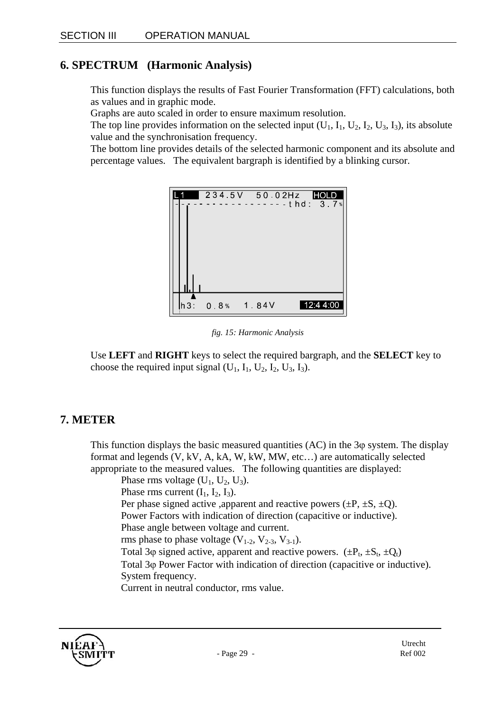### **6. SPECTRUM (Harmonic Analysis)**

This function displays the results of Fast Fourier Transformation (FFT) calculations, both as values and in graphic mode.

Graphs are auto scaled in order to ensure maximum resolution.

The top line provides information on the selected input  $(U_1, I_1, U_2, I_2, U_3, I_3)$ , its absolute value and the synchronisation frequency.

The bottom line provides details of the selected harmonic component and its absolute and percentage values. The equivalent bargraph is identified by a blinking cursor.



*fig. 15: Harmonic Analysis* 

Use **LEFT** and **RIGHT** keys to select the required bargraph, and the **SELECT** key to choose the required input signal  $(U_1, I_1, U_2, I_2, U_3, I_3)$ .

### **7. METER**

This function displays the basic measured quantities  $(AC)$  in the 3 $\varphi$  system. The display format and legends (V, kV, A, kA, W, kW, MW, etc…) are automatically selected appropriate to the measured values. The following quantities are displayed:

Phase rms voltage  $(U_1, U_2, U_3)$ .

Phase rms current  $(I_1, I_2, I_3)$ .

Per phase signed active ,apparent and reactive powers  $(\pm P, \pm S, \pm Q)$ .

Power Factors with indication of direction (capacitive or inductive).

Phase angle between voltage and current.

rms phase to phase voltage  $(V_{1-2}, V_{2-3}, V_{3-1})$ .

Total 3 $\varphi$  signed active, apparent and reactive powers. ( $\pm P_t$ ,  $\pm S_t$ ,  $\pm Q_t$ )

Total 3ϕ Power Factor with indication of direction (capacitive or inductive).

System frequency.

Current in neutral conductor, rms value.

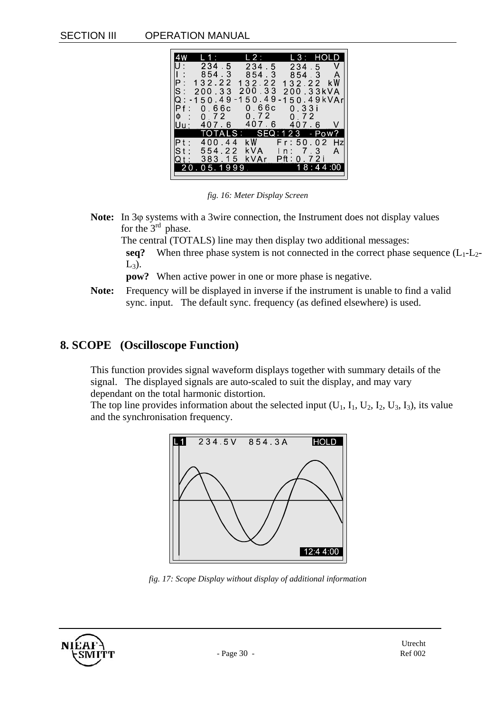#### SECTION III OPERATION MANUAL

| L 1 : 1              | L 2 : L     | L3: HOLD               |
|----------------------|-------------|------------------------|
| 234 5                | 234 5       | $234 \quad 5 \quad V$  |
| 8543                 | 8543        | 8543 A                 |
| 132.22<br>Ρ:         | 132.22      | 132.22 kW              |
| ${\tt S}$ :<br>20033 | 200.33      | 200.33kVA              |
| -150.49<br>O.        | 150.49      | $150.49$ kVAr          |
| 0.66c<br>Pf:         | 066с        | 0.33i                  |
| $\Phi$ :<br>0.72     | 0 7 2       | 0 7 2                  |
| IUu :                | 407 6 407 6 | 407.6<br>V             |
|                      |             | TOTALS: SEQ:123 - Pow? |
| $Pt$ :<br>400.44     | k W         | Fr:50 02 Hzl           |
| 554.22<br>$St$ :     | kVA l       | In: 7.3<br>A           |
| 383.15<br>O f :      | kVAr        | Pft: 0 72i             |
| 20 05 1999           |             | 18:44:00               |
|                      |             |                        |

*fig. 16: Meter Display Screen* 

**Note:** In 3ϕ systems with a 3wire connection, the Instrument does not display values for the  $3<sup>rd</sup>$  phase.

The central (TOTALS) line may then display two additional messages:

**seq?** When three phase system is not connected in the correct phase sequence  $(L_1-L_2-L_3)$  $L_3$ ).

**pow?** When active power in one or more phase is negative.

**Note:** Frequency will be displayed in inverse if the instrument is unable to find a valid sync. input. The default sync. frequency (as defined elsewhere) is used.

### **8. SCOPE (Oscilloscope Function)**

This function provides signal waveform displays together with summary details of the signal. The displayed signals are auto-scaled to suit the display, and may vary dependant on the total harmonic distortion.

The top line provides information about the selected input  $(U_1, I_1, U_2, I_2, U_3, I_3)$ , its value and the synchronisation frequency.



*fig. 17: Scope Display without display of additional information* 

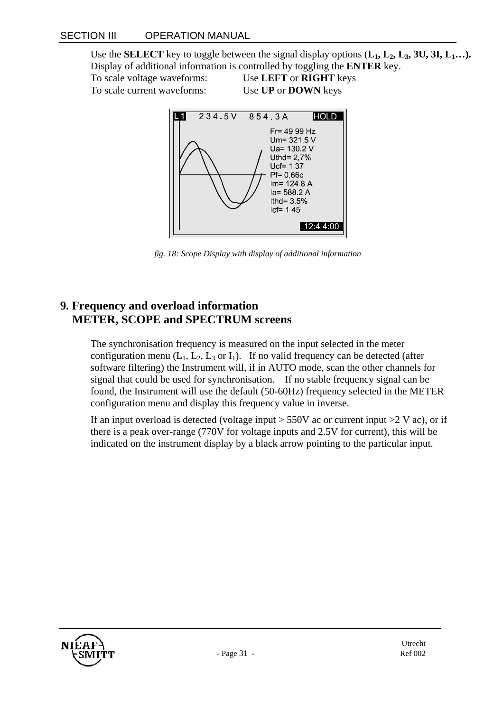Use the **SELECT** key to toggle between the signal display options  $(L_1, L_2, L_3, 3U, 3I, L_1...)$ . Display of additional information is controlled by toggling the **ENTER** key.

To scale voltage waveforms: Use **LEFT** or **RIGHT** keys To scale current waveforms: Use **UP** or **DOWN** keys



*fig. 18: Scope Display with display of additional information* 

### **9. Frequency and overload information METER, SCOPE and SPECTRUM screens**

The synchronisation frequency is measured on the input selected in the meter configuration menu  $(L_1, L_2, L_3$  or  $I_1$ ). If no valid frequency can be detected (after software filtering) the Instrument will, if in AUTO mode, scan the other channels for signal that could be used for synchronisation. If no stable frequency signal can be found, the Instrument will use the default (50-60Hz) frequency selected in the METER configuration menu and display this frequency value in inverse.

If an input overload is detected (voltage input  $> 550V$  ac or current input  $> 2 V$  ac), or if there is a peak over-range (770V for voltage inputs and 2.5V for current), this will be indicated on the instrument display by a black arrow pointing to the particular input.

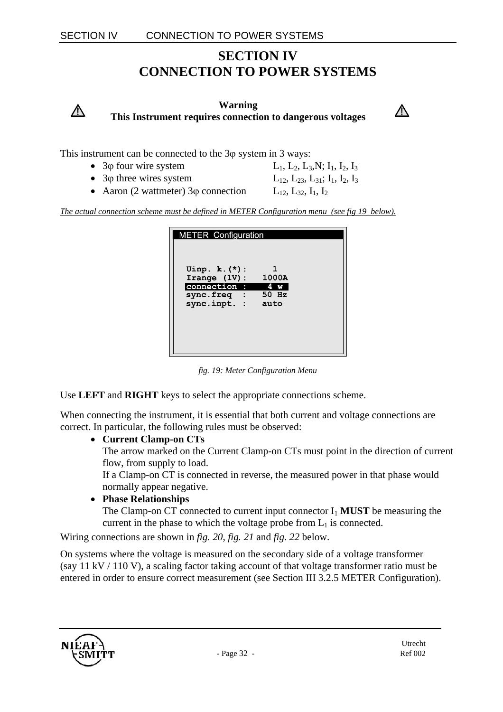### **SECTION IV CONNECTION TO POWER SYSTEMS**

**Warning This Instrument requires connection to dangerous voltages**



This instrument can be connected to the 3ϕ system in 3 ways:

- 3 $\phi$  four wire system  $L_1, L_2, L_3, N; I_1, I_2, I_3$
- 3 $\varphi$  three wires system  $L_{12}$ ,  $L_{23}$ ,  $L_{31}$ ;  $I_1$ ,  $I_2$ ,  $I_3$

 $\bigwedge$ 

• Aaron (2 wattmeter) 3 $\omega$  connection L<sub>12</sub>, L<sub>32</sub>, I<sub>1</sub>, I<sub>2</sub>

*The actual connection scheme must be defined in METER Configuration menu (see fig 19 below).*

| <b>METER Configuration</b>                                                                              |    |
|---------------------------------------------------------------------------------------------------------|----|
| Uinp. $k. (*)$ :<br>Irange $(1V)$ : 1000A<br>connection : 4 w<br>sync.freq : 50 Hz<br>sync.inpt. : auto | 1. |

*fig. 19: Meter Configuration Menu* 

Use **LEFT** and **RIGHT** keys to select the appropriate connections scheme.

When connecting the instrument, it is essential that both current and voltage connections are correct. In particular, the following rules must be observed:

#### • **Current Clamp-on CTs**

The arrow marked on the Current Clamp-on CTs must point in the direction of current flow, from supply to load.

If a Clamp-on CT is connected in reverse, the measured power in that phase would normally appear negative.

• **Phase Relationships** 

The Clamp-on CT connected to current input connector  $I_1$  **MUST** be measuring the current in the phase to which the voltage probe from  $L_1$  is connected.

Wiring connections are shown in *fig. 20*, *fig. 21* and *fig. 22* below.

On systems where the voltage is measured on the secondary side of a voltage transformer (say 11 kV / 110 V), a scaling factor taking account of that voltage transformer ratio must be entered in order to ensure correct measurement (see Section III 3.2.5 METER Configuration).

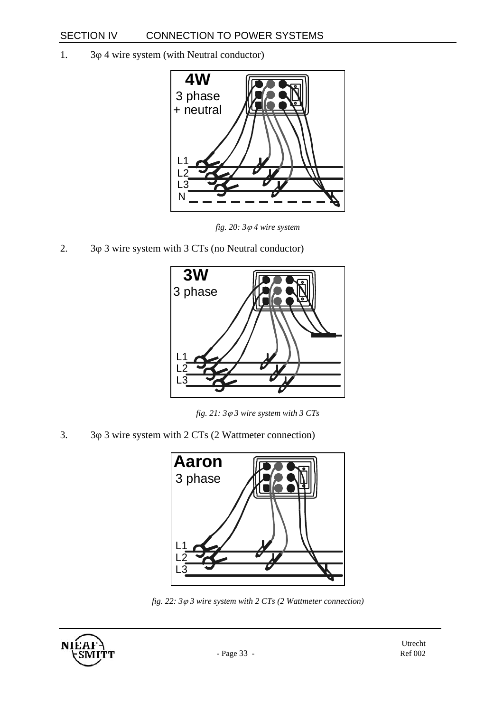1. 3ϕ 4 wire system (with Neutral conductor)



*fig. 20: 3*ϕ *4 wire system* 

2.  $3\varphi$  3 wire system with 3 CTs (no Neutral conductor)



*fig. 21: 3*ϕ *3 wire system with 3 CTs* 

3. 3ϕ 3 wire system with 2 CTs (2 Wattmeter connection)



*fig. 22: 3*ϕ *3 wire system with 2 CTs (2 Wattmeter connection)* 

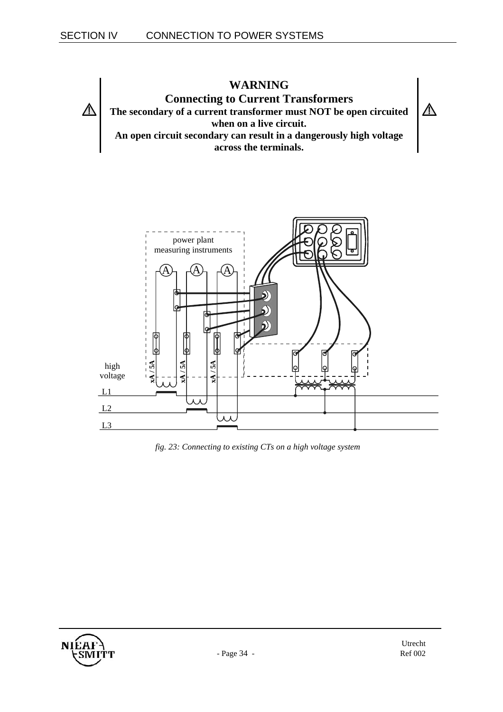



*fig. 23: Connecting to existing CTs on a high voltage system* 

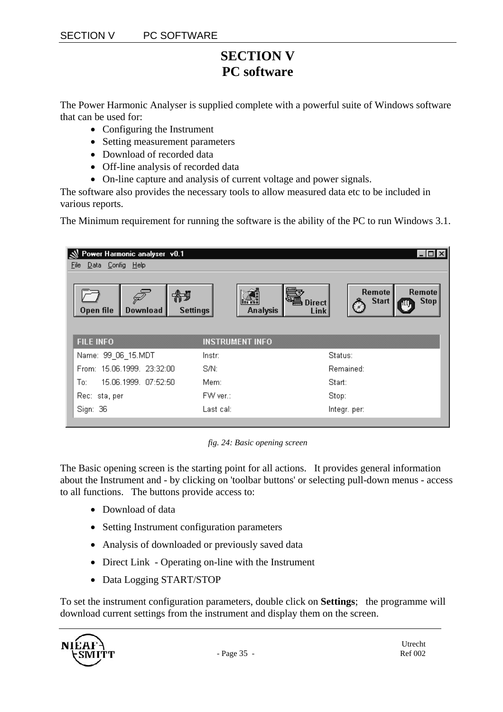### **SECTION V PC software**

The Power Harmonic Analyser is supplied complete with a powerful suite of Windows software that can be used for:

- Configuring the Instrument
- Setting measurement parameters
- Download of recorded data
- Off-line analysis of recorded data
- On-line capture and analysis of current voltage and power signals.

The software also provides the necessary tools to allow measured data etc to be included in various reports.

The Minimum requirement for running the software is the ability of the PC to run Windows 3.1.

| Power Harmonic analyser v0.1<br>Data Config Help<br>File                       |                                          |                                                        |
|--------------------------------------------------------------------------------|------------------------------------------|--------------------------------------------------------|
| $\sqrt{\frac{2}{\sqrt{2}}}$<br><b>Download</b><br><b>Settings</b><br>Open file | <b>Direct</b><br><b>Analysis</b><br>Link | Remote<br>Remote<br><b>Start</b><br><b>Stop</b><br>.≁. |
| <b>FILE INFO</b>                                                               | <b>INSTRUMENT INFO</b>                   |                                                        |
| Name: 99_06_15.MDT                                                             | Instr:                                   | Status:                                                |
| From: 15.06.1999. 23:32:00.                                                    | S/N:                                     | Remained:                                              |
| 15.06.1999. 07:52:50<br>To:                                                    | Mem:                                     | Start:                                                 |
| Rec: sta, per                                                                  | FW ver.:                                 | Stop:                                                  |
| Sign: 36                                                                       | Last cal:                                | Integr. per:                                           |

*fig. 24: Basic opening screen* 

The Basic opening screen is the starting point for all actions. It provides general information about the Instrument and - by clicking on 'toolbar buttons' or selecting pull-down menus - access to all functions. The buttons provide access to:

- Download of data
- Setting Instrument configuration parameters
- Analysis of downloaded or previously saved data
- Direct Link Operating on-line with the Instrument
- Data Logging START/STOP

To set the instrument configuration parameters, double click on **Settings**; the programme will download current settings from the instrument and display them on the screen.

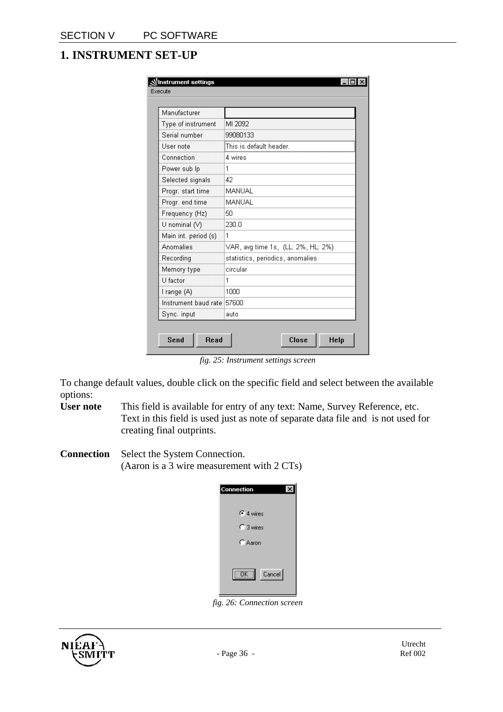### **1. INSTRUMENT SET-UP**

| Manufacturer               |                                    |
|----------------------------|------------------------------------|
| Type of instrument         | MI 2092                            |
| Serial number              | 99080133                           |
| User note                  | .<br>This is default header        |
| Connection                 | 4 wires                            |
| Power sub Ip               | 1                                  |
| Selected signals           | 42                                 |
| Progr. start time          | MANUAL                             |
| Progr. end time            | MANUAL                             |
| Frequency (Hz)             | 50                                 |
| U nominal $(\vee)$         | 230 O                              |
| Main int. period (s)       | 1                                  |
| Anomalies                  | VAR, avg time 1s, (LL: 2%, HL: 2%) |
| Recording                  | statistics, periodics, anomalies   |
| Memory type                | circular                           |
| U factor                   | 1                                  |
| I range (A)                | 1000                               |
| Instrument baud rate 57600 |                                    |
| Sync. input                | auto                               |

*fig. 25: Instrument settings screen* 

To change default values, double click on the specific field and select between the available options:

- **User note** This field is available for entry of any text: Name, Survey Reference, etc. Text in this field is used just as note of separate data file and is not used for creating final outprints.
- **Connection** Select the System Connection. (Aaron is a 3 wire measurement with 2 CTs)

| <b>Connection</b> |  |
|-------------------|--|
| $G$ 4 wires       |  |
| $\bigcap$ 3 wires |  |
| $\Gamma$ Aaron    |  |
|                   |  |
| Cancel            |  |

*fig. 26: Connection screen* 

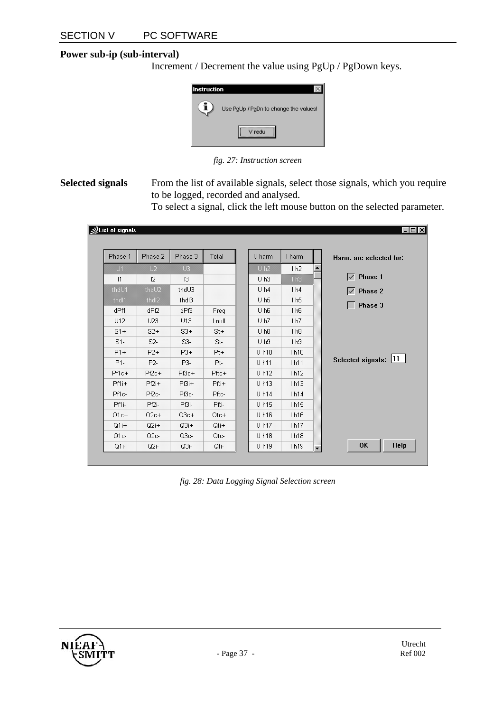#### **Power sub-ip (sub-interval)**

Increment / Decrement the value using PgUp / PgDown keys.



*fig. 27: Instruction screen* 

**Selected signals** From the list of available signals, select those signals, which you require to be logged, recorded and analysed.

To select a signal, click the left mouse button on the selected parameter.

#### $| \Box \Box | \times |$ **NList of signals** Phase 1 Phase 2 Phase 3 Total U harm I harm Harm. are selected for:  $1 h2$  $\blacktriangle$  $\sqrt{ }$  Phase 1  $\mathsf{I}3$  $|1$  $12$  $U<sub>h3</sub>$ thdU3  $U<sub>h4</sub>$  $1<sub>h4</sub>$  $\sqrt{ }$  Phase 2 thd<sub>13</sub>  $U<sub>h5</sub>$  $1<sub>h5</sub>$ thd<sup>[2</sup>  $\Box$  Phase 3 dPf1 dPf2 dPf3 Freq  $U$  h<sub>6</sub>  $1 h6$  $U12$ U23 U13 I null U<sub>h7</sub>  $1 h7$  $S1+$  $S2+$  $S3+$  $U$  h<sub>8</sub>  $1<sub>h8</sub>$  $St+$  $S1 S2 S3 St U<sub>h9</sub>$  $1<sub>h9</sub>$  $P1+$  $P3+$  $P2+$  $Pt +$  $U h10$ 1h10 Selected signals: 11  $P1-$ P2-P3-Pt- $U<sub>h11</sub>$  $1h11$ Pf1c+  $Pf2c+$ P<sub>f3c+</sub> Pftc+  $U<sub>h12</sub>$ 1h12 Pf1i+ Pf2i+ P<sub>f3i+</sub> U h13 1h13 Pfti+ Pf2c-P<sub>Bc</sub> U h14  $1h14$ Pf1c-Pftc-Pf1i-Pfti-Pf2i-P<sub>f3i</sub>-U h15 1h15  $Q1c+$  $Q2c+$  $Q3c+$  $Qtc+$ U h16 1h16  $Q1i+$  $Q3i+$  $Q2i+$ U h17 Qti+ 1h17 Q1c- $Q2c-$ Q3c-Qtc-U h18  $1h18$ OK Help Q1i-Q2i-Q3i-Qti-U h19 1h19

*fig. 28: Data Logging Signal Selection screen* 

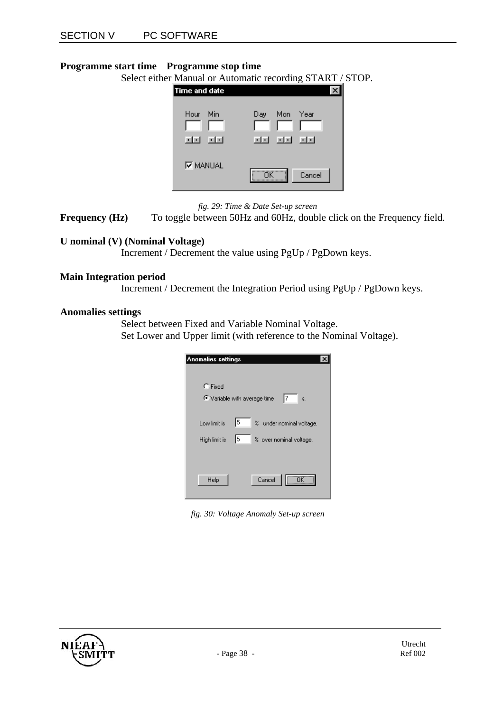#### **Programme start time Programme stop time**

Select either Manual or Automatic recording START / STOP.

| <b>Time and date</b> | $\sqrt{2}$                        |
|----------------------|-----------------------------------|
| Min<br>Hour<br>同可    | Year<br>Mon<br>Day<br>ाज जन<br>同时 |
| <b>V</b> MANUAL      | Cancel<br>ΠK                      |

*fig. 29: Time & Date Set-up screen*

**Frequency (Hz)** To toggle between 50Hz and 60Hz, double click on the Frequency field.

#### **U nominal (V) (Nominal Voltage)**

Increment / Decrement the value using PgUp / PgDown keys.

#### **Main Integration period**

Increment / Decrement the Integration Period using PgUp / PgDown keys.

#### **Anomalies settings**

Select between Fixed and Variable Nominal Voltage. Set Lower and Upper limit (with reference to the Nominal Voltage).

| Anomalies settings                             |
|------------------------------------------------|
|                                                |
|                                                |
| $\Gamma$ Fixed                                 |
| 17<br>C Variable with average time<br>Ś.       |
|                                                |
| 15<br>% under nominal voltage.<br>Low limit is |
| 15<br>% over nominal voltage.<br>High limit is |
|                                                |
|                                                |
| $-\overline{n}$ K $-$<br>Help<br>Cancel        |
|                                                |

*fig. 30: Voltage Anomaly Set-up screen* 

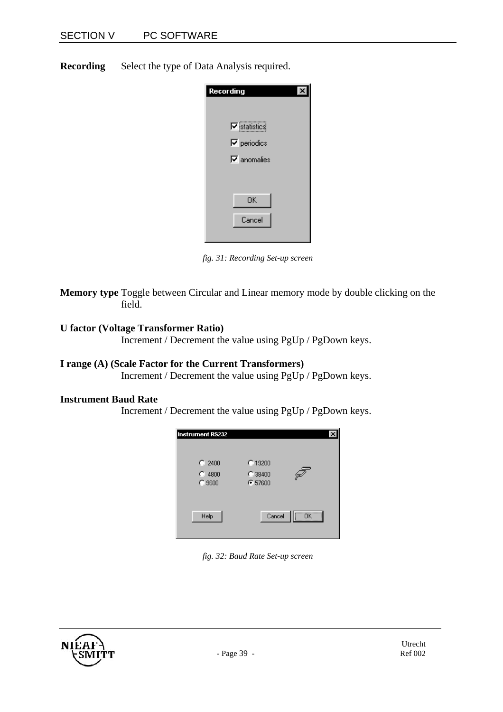**Recording** Select the type of Data Analysis required.

| Recording                                 |  |
|-------------------------------------------|--|
| $\nabla$ statistics<br>$\nabla$ periodics |  |
| $\nabla$ anomalies                        |  |
| OΚ<br>Cancel                              |  |
|                                           |  |

*fig. 31: Recording Set-up screen* 

 $\overline{\phantom{a}}$ 

**Memory type** Toggle between Circular and Linear memory mode by double clicking on the field.

#### **U factor (Voltage Transformer Ratio)**

Increment / Decrement the value using PgUp / PgDown keys.

#### **I range (A) (Scale Factor for the Current Transformers)**

Increment / Decrement the value using PgUp / PgDown keys.

#### **Instrument Baud Rate**

Increment / Decrement the value using PgUp / PgDown keys.



*fig. 32: Baud Rate Set-up screen* 

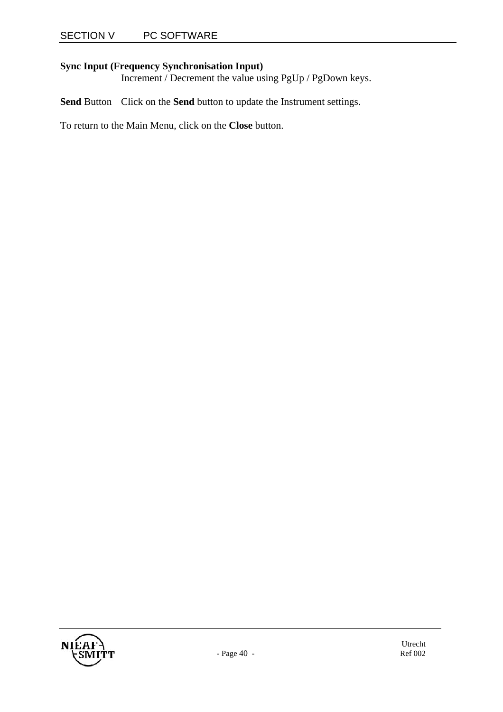#### **Sync Input (Frequency Synchronisation Input)**

Increment / Decrement the value using PgUp / PgDown keys.

**Send** Button Click on the **Send** button to update the Instrument settings.

To return to the Main Menu, click on the **Close** button.

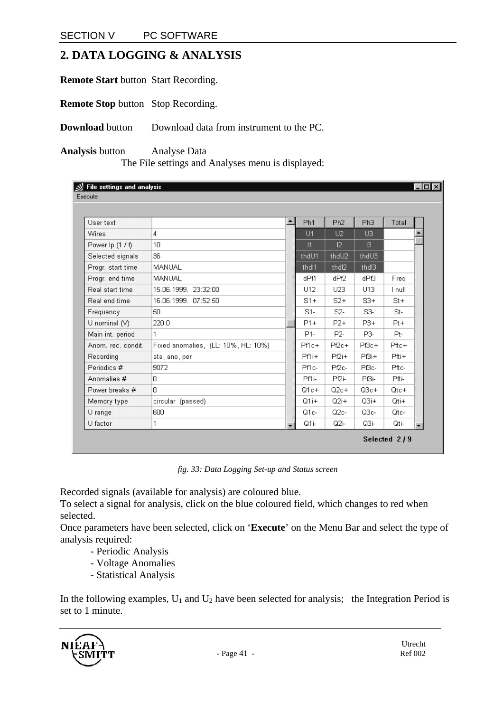### **2. DATA LOGGING & ANALYSIS**

**Remote Start** button Start Recording.

**Remote Stop** button Stop Recording.

**Download** button Download data from instrument to the PC.

**Analysis** button Analyse Data The File settings and Analyses menu is displayed:

| File settings and analysis<br>Execute |                                     |                  |                   |                   |         | $-$ lol $\times$         |
|---------------------------------------|-------------------------------------|------------------|-------------------|-------------------|---------|--------------------------|
|                                       |                                     |                  |                   |                   |         |                          |
| User text                             |                                     | Ph <sub>1</sub>  | Ph <sub>2</sub>   | Ph <sub>3</sub>   | Total   |                          |
| Wires                                 | 4                                   | U1               | U2                | U3                |         |                          |
| Power lp (1 / f)                      | 10 <sub>1</sub>                     | 1                | 2                 | 3                 |         |                          |
| Selected signals                      | 36                                  | thdU1            | thdU2             | thdU3             |         |                          |
| Progr. start time                     | MANUAL                              | thdl1            | thd <sub>12</sub> | thd <sub>13</sub> |         |                          |
| Progr. end time                       | MANUAL                              | dPf1             | dPf2              | dPf3              | Freq    |                          |
| Real start time                       | 15.06.1999. 23:32:00                | U12              | U23               | U13               | I null  |                          |
| Real end time                         | 16.06.1999. 07:52:50                | $S1+$            | $S2+$             | $S3+$             | $St+$   |                          |
| Frequency                             | 50                                  | $S1-$            | S2-               | S3-               | $St-$   |                          |
| $U$ nominal $(V)$                     | 220.0                               | $P1+$            | $P2+$             | $P3+$             | $Pt +$  |                          |
| Main int. period                      | 1                                   | P <sub>1</sub> - | P <sub>2</sub> -  | P3-               | Pt-     |                          |
| Anom. rec. condit.                    | Fixed anomalies, (LL: 10%, HL: 10%) | $Pf1c+$          | $Pf2c+$           | P <sub>Bc+</sub>  | $Pftc+$ |                          |
| Recording                             | sta, ano, per                       | Pf1i+            | $P2i+$            | P <sub>Bi+</sub>  | $Pfti+$ |                          |
| Periodics #                           | 9072                                | Pf1c-            | Pf2c-             | P <sub>Bc</sub>   | Pftc-   |                          |
| Anomalies #                           | la.                                 | Pf1i-            | Pf2i-             | P <sub>Bi-</sub>  | Pfti-   |                          |
| Power breaks #                        | la.                                 | $Q1c+$           | $Q2c+$            | $Q3c+$            | $Qtc+$  |                          |
| Memory type                           | circular (passed)                   | $Q1i+$           | $Q2i+$            | $Q3i+$            | $Qti+$  |                          |
| U range                               | 600                                 | Q1c-             | $Q2c-$            | $Q3c-$            | Qtc-    |                          |
| U factor                              | 1                                   | Q1i-             | Q2i-              | Q3i-              | Qti-    | $\overline{\phantom{a}}$ |

*fig. 33: Data Logging Set-up and Status screen* 

Recorded signals (available for analysis) are coloured blue.

To select a signal for analysis, click on the blue coloured field, which changes to red when selected.

Once parameters have been selected, click on '**Execute**' on the Menu Bar and select the type of analysis required:

- Periodic Analysis
- Voltage Anomalies
- Statistical Analysis

In the following examples,  $U_1$  and  $U_2$  have been selected for analysis; the Integration Period is set to 1 minute.

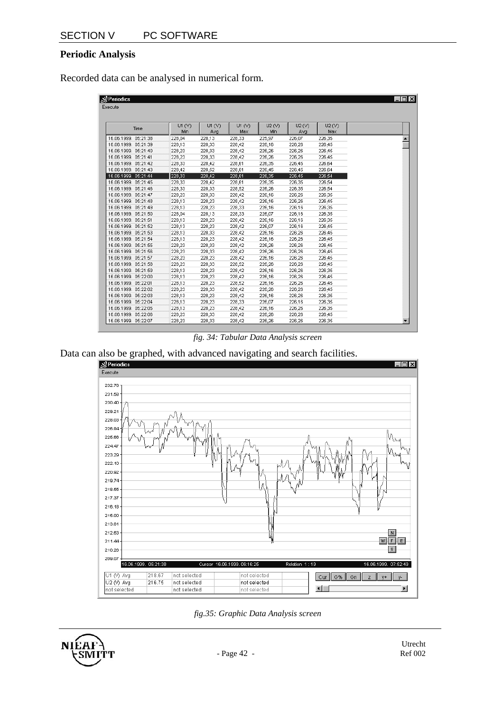#### **Periodic Analysis**

Recorded data can be analysed in numerical form.

| <b>N</b> Periodics   |        |        |                 |        |              |        |
|----------------------|--------|--------|-----------------|--------|--------------|--------|
| Execute              |        |        |                 |        |              |        |
|                      |        |        |                 |        |              |        |
|                      | UI(V)  | U1 (V) |                 | U2(V)  |              | U2(V)  |
| Time                 | Min    | Avg    | U1 $(V)$<br>Max | Min    | U2(V)<br>Avg | Max    |
| 16.06.1999. 05:21:38 | 228,04 | 228,13 | 228,33          | 225,97 | 226,07       | 226,35 |
| 16.06.1999. 05:21:39 | 228,13 | 228,33 | 228,42          | 226,16 | 226,26       | 226,45 |
| 16.06.1999. 05:21:40 | 228,23 | 228,33 | 228,42          | 226,26 | 226,26       | 226,45 |
| 16.06.1999. 05:21:41 | 228,23 | 228,33 | 228,42          | 226,26 | 226,26       | 226,45 |
| 16.06.1999. 05:21:42 | 228,33 | 228,42 | 228,61          | 226,35 | 226,45       | 226,64 |
| 16.06.1999, 05:21:43 | 228,42 | 228,52 | 228,61          | 226,45 | 226,45       | 226,64 |
| 16.06.1999. 05:21:44 | 228,33 | 228,42 | 228,61          | 226,35 | 226,45       | 226,54 |
| 16.06.1999. 05:21:45 | 228,33 | 228,42 | 228,61          | 226,35 | 226,35       | 226,54 |
| 16.06.1999. 05:21:46 | 228,33 | 228,33 | 228,52          | 226,26 | 226,35       | 226,54 |
| 16.06.1999. 05:21:47 | 228,23 | 228,33 | 228,42          | 226,16 | 226,26       | 226,35 |
| 16.06.1999. 05:21:48 | 228,13 | 228,23 | 228,42          | 226,16 | 226,26       | 226,45 |
| 16.06.1999. 05:21:49 | 228,13 | 228,23 | 228,33          | 226,16 | 226,16       | 226,35 |
| 16.06.1999, 05:21:50 | 228,04 | 228,13 | 228,33          | 226,07 | 226,16       | 226,35 |
| 16.06.1999. 05:21:51 | 228,13 | 228,23 | 228,42          | 226,16 | 226,16       | 226,35 |
| 16.06.1999. 05:21:52 | 228,13 | 228,23 | 228,42          | 226,07 | 226,16       | 226,45 |
| 16.06.1999. 05:21:53 | 228,13 | 228,33 | 228,42          | 226,16 | 226,26       | 226,45 |
| 16.06.1999. 05:21:54 | 228,13 | 228,23 | 228,42          | 226,16 | 226,26       | 226,45 |
| 16.06.1999. 05:21:55 | 228,23 | 228,33 | 228,42          | 226,26 | 226,26       | 226,45 |
| 16.06.1999. 05:21:56 | 228,23 | 228,33 | 228,42          | 226,26 | 226,26       | 226,45 |
| 16.06.1999. 05:21:57 | 228,23 | 228,23 | 228,42          | 226,16 | 226,26       | 226,45 |
| 16.06.1999. 05:21:58 | 228,23 | 228,33 | 228,52          | 226,26 | 226,26       | 226,45 |
| 16.06.1999. 05:21:59 | 228,13 | 228,23 | 228,42          | 226,16 | 226,26       | 226,35 |
| 16.06.1999. 05:22:00 | 228,13 | 228,23 | 228,42          | 226,16 | 226,26       | 226,45 |
| 16.06.1999. 05:22:01 | 228,13 | 228,23 | 228,52          | 226,16 | 226,26       | 226,45 |
| 16.06.1999. 05:22:02 | 228,23 | 228,33 | 228,42          | 226,26 | 226,26       | 226,45 |
| 16.06.1999. 05:22:03 | 228,13 | 228,23 | 228,42          | 226,16 | 226,26       | 226,35 |
| 16.06.1999. 05:22:04 | 228,13 | 228,23 | 228,33          | 226,07 | 226,16       | 226,35 |
| 16.06.1999. 05:22:05 | 228,13 | 228,23 | 228,42          | 226,16 | 226,26       | 226,35 |
| 16.06.1999. 05:22:06 | 228,23 | 228,33 | 228,42          | 226,26 | 226,26       | 226,45 |
| 16.06.1999. 05:22:07 | 228,23 | 228,33 | 228,42          | 226,26 | 226,26       | 226,35 |

*fig. 34: Tabular Data Analysis screen* 

Data can also be graphed, with advanced navigating and search facilities.





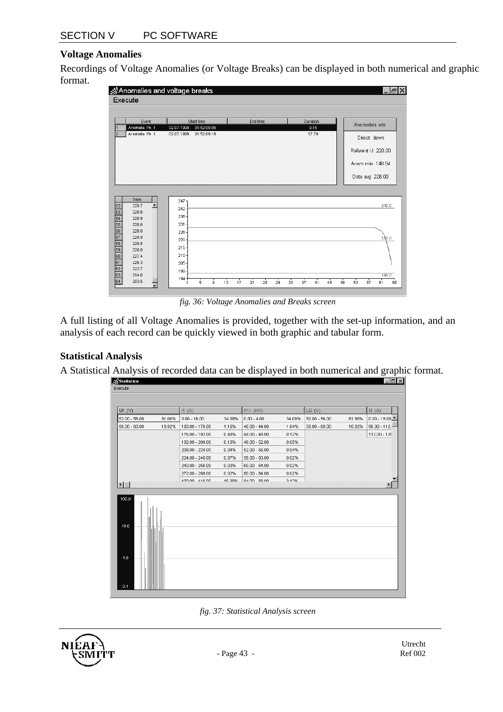#### **Voltage Anomalies**

Recordings of Voltage Anomalies (or Voltage Breaks) can be displayed in both numerical and graphic format.



*fig. 36: Voltage Anomalies and Breaks screen* 

A full listing of all Voltage Anomalies is provided, together with the set-up information, and an analysis of each record can be quickly viewed in both graphic and tabular form.

#### **Statistical Analysis**

A Statistical Analysis of recorded data can be displayed in both numerical and graphic format.

| Statistics      |        |                 |        |                 |        |                 |        | $\Box$           |
|-----------------|--------|-----------------|--------|-----------------|--------|-----------------|--------|------------------|
| Execute         |        |                 |        |                 |        |                 |        |                  |
|                 |        |                 |        |                 |        |                 |        |                  |
| UI (V)          |        | H(A)            |        | P1+ (kW)        |        | U2(V)           |        | 12(A)            |
| $52.00 - 56.00$ | 81.08% | $0.00 - 16.00$  | 34.09% | $0.00 - 4.00$   | 34.09% | $52.00 - 56.00$ | 81.98% | $0.00 - 16.00 -$ |
| $56.00 - 60.00$ | 18.92% | 160.00 - 176.00 | 1.16%  | $40.00 - 44.00$ | 1.64%  | $56.00 - 60.00$ | 18.02% | $96.00 - 112.5$  |
|                 |        | 176.00 - 192.00 | 0.48%  | $44.00 - 48.00$ | 0.12%  |                 |        | 112.00 - 128     |
|                 |        | 192.00 - 208.00 | 0.10%  | $48.00 - 52.00$ | 0.05%  |                 |        |                  |
|                 |        | 208.00 - 224.00 | 0.04%  | $52.00 - 56.00$ | 0.04%  |                 |        |                  |
|                 |        | 224.00 - 240.00 | 0.07%  | $56.00 - 60.00$ | 0.02%  |                 |        |                  |
|                 |        | 240.00 - 256.00 | 0.03%  | $60.00 - 64.00$ | 0.02%  |                 |        |                  |
|                 |        | 272.00 - 288.00 | 0.02%  | $80.00 - 84.00$ | 0.02%  |                 |        |                  |
| $\blacksquare$  |        | 400.00 416.00   | 16.98% | 84.0088.00.     | 3.1.2% |                 |        |                  |
| 100.0<br>10.0   |        |                 |        |                 |        |                 |        |                  |
| 1.0<br>0.1      |        |                 |        |                 |        |                 |        |                  |



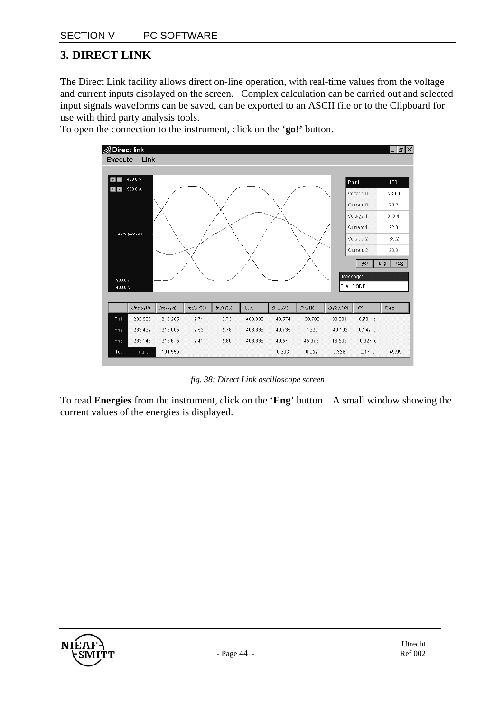### **3. DIRECT LINK**

The Direct Link facility allows direct on-line operation, with real-time values from the voltage and current inputs displayed on the screen. Complex calculation can be carried out and selected input signals waveforms can be saved, can be exported to an ASCII file or to the Clipboard for use with third party analysis tools.



To open the connection to the instrument, click on the '**go!'** button.

*fig. 38: Direct Link oscilloscope screen* 

To read **Energies** from the instrument, click on the '**Eng**' button. A small window showing the current values of the energies is displayed.

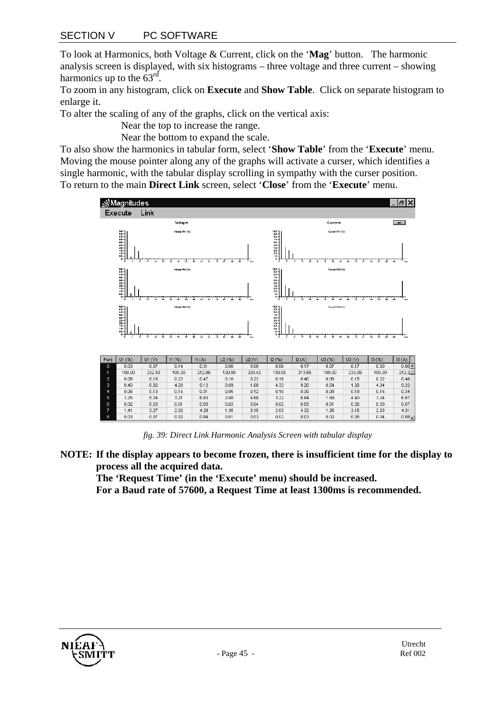To look at Harmonics, both Voltage & Current, click on the '**Mag**' button. The harmonic analysis screen is displayed, with six histograms – three voltage and three current – showing harmonics up to the  $63<sup>rd</sup>$ .

To zoom in any histogram, click on **Execute** and **Show Table**. Click on separate histogram to enlarge it.

To alter the scaling of any of the graphs, click on the vertical axis:

Near the top to increase the range.

Near the bottom to expand the scale.

To also show the harmonics in tabular form, select '**Show Table**' from the '**Execute**' menu. Moving the mouse pointer along any of the graphs will activate a curser, which identifies a single harmonic, with the tabular display scrolling in sympathy with the curser position. To return to the main **Direct Link** screen, select '**Close**' from the '**Execute**' menu.



*fig. 39: Direct Link Harmonic Analysis Screen with tabular display* 

**NOTE: If the display appears to become frozen, there is insufficient time for the display to process all the acquired data.** 

**The 'Request Time' (in the 'Execute' menu) should be increased. For a Baud rate of 57600, a Request Time at least 1300ms is recommended.** 

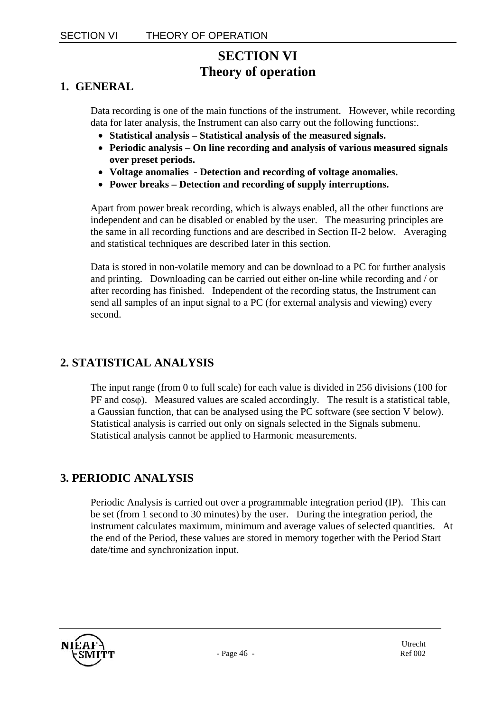### **SECTION VI Theory of operation**

### **1. GENERAL**

Data recording is one of the main functions of the instrument. However, while recording data for later analysis, the Instrument can also carry out the following functions:.

- **Statistical analysis Statistical analysis of the measured signals.**
- **Periodic analysis On line recording and analysis of various measured signals over preset periods.**
- **Voltage anomalies Detection and recording of voltage anomalies.**
- **Power breaks Detection and recording of supply interruptions.**

Apart from power break recording, which is always enabled, all the other functions are independent and can be disabled or enabled by the user. The measuring principles are the same in all recording functions and are described in Section II-2 below. Averaging and statistical techniques are described later in this section.

Data is stored in non-volatile memory and can be download to a PC for further analysis and printing. Downloading can be carried out either on-line while recording and / or after recording has finished. Independent of the recording status, the Instrument can send all samples of an input signal to a PC (for external analysis and viewing) every second.

### **2. STATISTICAL ANALYSIS**

The input range (from 0 to full scale) for each value is divided in 256 divisions (100 for PF and cosϕ). Measured values are scaled accordingly. The result is a statistical table, a Gaussian function, that can be analysed using the PC software (see section V below). Statistical analysis is carried out only on signals selected in the Signals submenu. Statistical analysis cannot be applied to Harmonic measurements.

### **3. PERIODIC ANALYSIS**

Periodic Analysis is carried out over a programmable integration period (IP). This can be set (from 1 second to 30 minutes) by the user. During the integration period, the instrument calculates maximum, minimum and average values of selected quantities. At the end of the Period, these values are stored in memory together with the Period Start date/time and synchronization input.

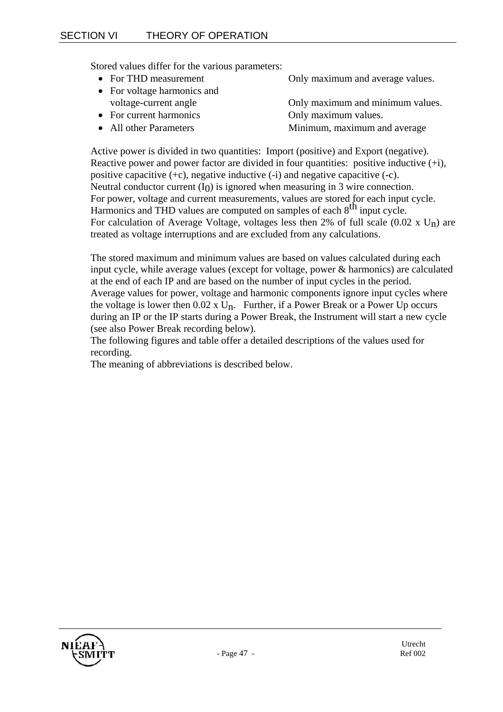Stored values differ for the various parameters:

- 
- For voltage harmonics and
- For current harmonics Only maximum values.
- 
- For THD measurement Only maximum and average values.
	- voltage-current angle Only maximum and minimum values.
		-
	- All other Parameters Minimum, maximum and average

Active power is divided in two quantities: Import (positive) and Export (negative). Reactive power and power factor are divided in four quantities: positive inductive  $(+i)$ , positive capacitive  $(+c)$ , negative inductive  $(-i)$  and negative capacitive  $(-c)$ . Neutral conductor current  $(I<sub>0</sub>)$  is ignored when measuring in 3 wire connection. For power, voltage and current measurements, values are stored for each input cycle. Harmonics and THD values are computed on samples of each 8<sup>th</sup> input cycle. For calculation of Average Voltage, voltages less then 2% of full scale  $(0.02 \times U_n)$  are treated as voltage interruptions and are excluded from any calculations.

The stored maximum and minimum values are based on values calculated during each input cycle, while average values (except for voltage, power & harmonics) are calculated at the end of each IP and are based on the number of input cycles in the period. Average values for power, voltage and harmonic components ignore input cycles where the voltage is lower then  $0.02 \times U_n$ . Further, if a Power Break or a Power Up occurs during an IP or the IP starts during a Power Break, the Instrument will start a new cycle (see also Power Break recording below).

The following figures and table offer a detailed descriptions of the values used for recording.

The meaning of abbreviations is described below.

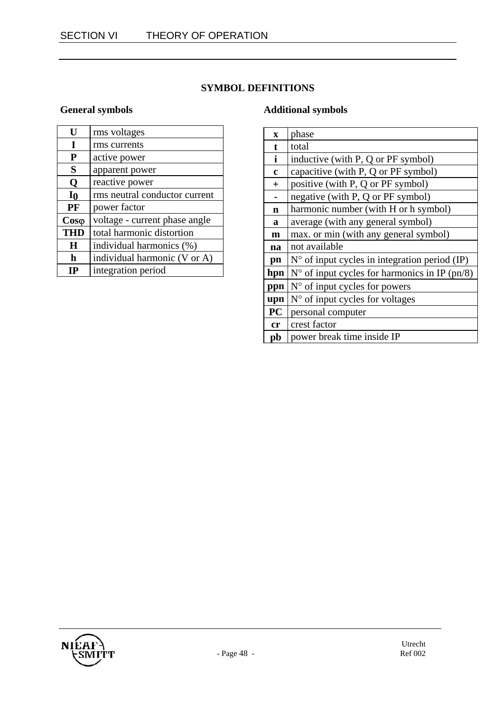### **SYMBOL DEFINITIONS**

### **General symbols**

| U              | rms voltages                  |
|----------------|-------------------------------|
| I              | rms currents                  |
| P              | active power                  |
| S              | apparent power                |
| Q              | reactive power                |
| I <sub>0</sub> | rms neutral conductor current |
| PF             | power factor                  |
| $Cos\varphi$   | voltage - current phase angle |
| <b>THD</b>     | total harmonic distortion     |
| H              | individual harmonics (%)      |
| h              | individual harmonic (V or A)  |
| НΡ             | integration period            |

#### **Additional symbols**

| $\mathbf x$  | phase                                                  |
|--------------|--------------------------------------------------------|
| t            | total                                                  |
| $\mathbf{i}$ | inductive (with P, Q or PF symbol)                     |
| $\mathbf c$  | capacitive (with P, Q or PF symbol)                    |
| $+$          | positive (with P, Q or PF symbol)                      |
|              | negative (with P, Q or PF symbol)                      |
| n            | harmonic number (with H or h symbol)                   |
| a            | average (with any general symbol)                      |
| $\mathbf{m}$ | max. or min (with any general symbol)                  |
| na           | not available                                          |
| pn           | $N^{\circ}$ of input cycles in integration period (IP) |
| hpn          | $N^{\circ}$ of input cycles for harmonics in IP (pn/8) |
| ppn          | $No$ of input cycles for powers                        |
| upn          | $N°$ of input cycles for voltages                      |
| <b>PC</b>    | personal computer                                      |
| cr           | crest factor                                           |
| pb           | power break time inside IP                             |

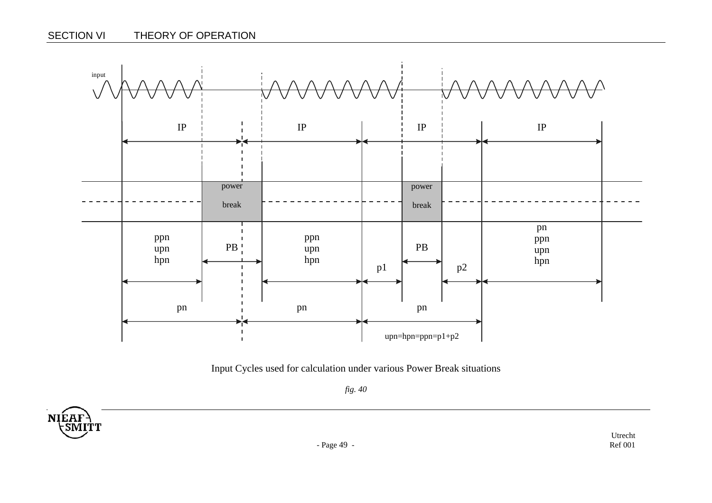

Input Cycles used for calculation under various Power Break situations

*fig. 40* 

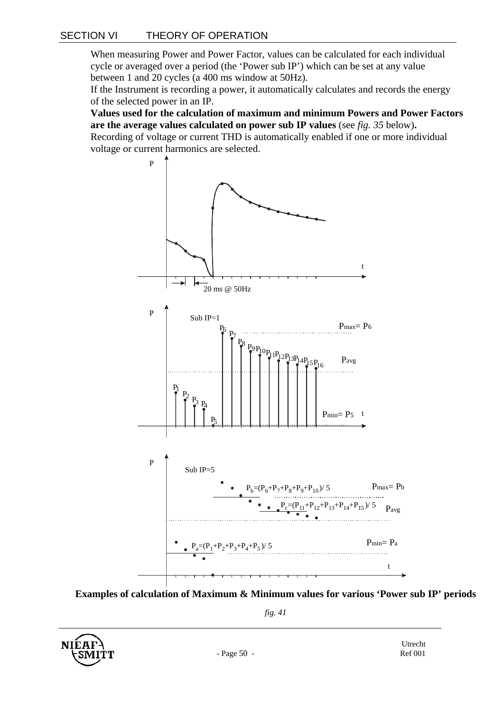When measuring Power and Power Factor, values can be calculated for each individual cycle or averaged over a period (the 'Power sub IP') which can be set at any value between 1 and 20 cycles (a 400 ms window at 50Hz).

If the Instrument is recording a power, it automatically calculates and records the energy of the selected power in an IP.

**Values used for the calculation of maximum and minimum Powers and Power Factors are the average values calculated on power sub IP values** (see *fig. 35* below)**.**  Recording of voltage or current THD is automatically enabled if one or more individual



**Examples of calculation of Maximum & Minimum values for various 'Power sub IP' periods**

*fig. 41* 

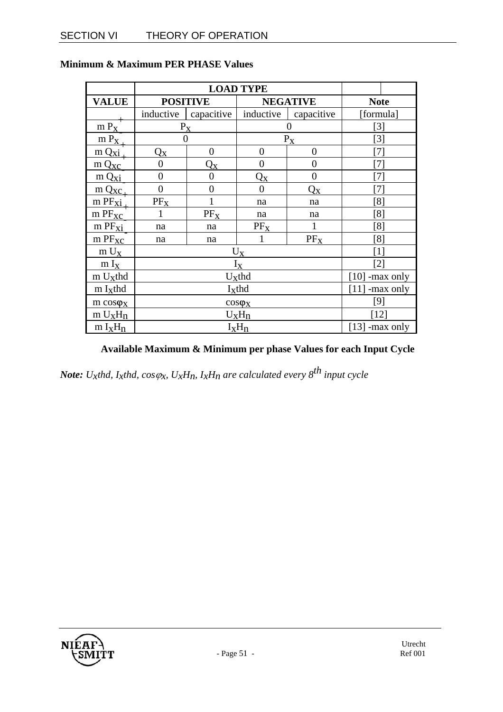|                                             | <b>LOAD TYPE</b>                    |                |                  |                           |                   |  |
|---------------------------------------------|-------------------------------------|----------------|------------------|---------------------------|-------------------|--|
| <b>VALUE</b>                                | <b>POSITIVE</b>                     |                | <b>NEGATIVE</b>  |                           | <b>Note</b>       |  |
|                                             | inductive                           | capacitive     | inductive        | capacitive                | [formula]         |  |
| $m P_X$                                     | $P_X$                               |                | 0                |                           | [3]               |  |
| $m P_X$                                     | $\overline{0}$                      |                | $P_X$            |                           | $[3]$             |  |
| $m Q_{X1}$                                  | $\mathrm{Q}_{\mathrm{X}}$           | $\overline{0}$ | $\overline{0}$   | $\theta$                  | $\lceil 7 \rceil$ |  |
| $m Q_{XC}$                                  | $\overline{0}$                      | $Q_{X}$        | $\boldsymbol{0}$ | $\overline{0}$            | [7]               |  |
| m Qxi                                       | $\overline{0}$                      | $\overline{0}$ | $Q_{X}$          | $\overline{0}$            | $\lceil 7 \rceil$ |  |
| $m Q_{\text{XC}}$                           | 0                                   | $\overline{0}$ | $\overline{0}$   | $\mathrm{Q}_{\mathrm{X}}$ | $\left[ 7\right]$ |  |
| $m$ PF $xi$ <sup><math>\dot{i}</math></sup> | $PF_X$                              |                | na               | na                        | [8]               |  |
| $m$ $PF_{XC}$                               |                                     | $PF_X$         | na               | na                        | [8]               |  |
| $m$ PF $xi$                                 | na                                  | na             | $PF_X$           |                           | [8]               |  |
| m PFxc                                      | na                                  | na             |                  | $PF_X$                    | [8]               |  |
| $m U_X$                                     | $[1]$<br>$U_X$                      |                |                  |                           |                   |  |
| $m I_X$                                     | $I_X$<br>[2]                        |                |                  |                           |                   |  |
| $m U_{x}$ thd                               | $U_{\rm X}$ thd<br>$[10]$ -max only |                |                  |                           |                   |  |
| $m I_{x}$ thd                               | Ixthd<br>$[11]$<br>-max only        |                |                  |                           |                   |  |
| $m \cos \phi_X$                             | [9]<br>$cos\phi_X$                  |                |                  |                           |                   |  |
| $m U_X H_n$                                 | [12]<br>$U_XH_n$                    |                |                  |                           |                   |  |
| $m I_X H_n$                                 | $I_xH_n$<br>[13] -max only          |                |                  |                           |                   |  |

#### **Minimum & Maximum PER PHASE Values**

**Available Maximum & Minimum per phase Values for each Input Cycle** 

*Note: U<sub>x</sub>thd, I<sub>x</sub>thd,*  $cos \varphi_x$ *, U<sub>x</sub>H<sub>n</sub>, I<sub>x</sub>H<sub>n</sub> are calculated every*  $8^{th}$  *input cycle* 

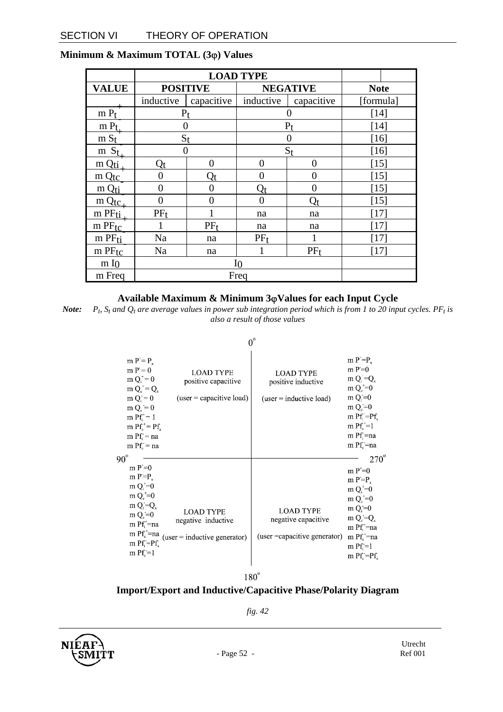|                   | <b>LOAD TYPE</b> |                     |                                 |                 |             |  |
|-------------------|------------------|---------------------|---------------------------------|-----------------|-------------|--|
| <b>VALUE</b>      | <b>POSITIVE</b>  |                     | <b>NEGATIVE</b>                 |                 | <b>Note</b> |  |
|                   | inductive        | capacitive          | inductive                       | capacitive      | [formula]   |  |
| $m P_t$           | $P_t$            |                     | 0                               |                 | [14]        |  |
| $m P_t$           | 0                |                     | $P_{t}$                         |                 | [14]        |  |
| $m S_t$           | $S_t$            |                     |                                 |                 | $[16]$      |  |
| $m S_t$           | 0                |                     | $S_{t}$                         |                 | [16]        |  |
| m Qti             | Qt               | 0                   | $\theta$                        | 0               | [15]        |  |
| $m Q_{\text{tc}}$ | 0                | $\operatorname{Qt}$ | 0                               | 0               | [15]        |  |
| m Q <sub>ti</sub> | $\theta$         | 0                   | $\operatorname{Q}_\mathfrak{t}$ | 0               | $[15]$      |  |
| $m Q_{\text{tc}}$ | $\theta$         | 0                   | 0                               | $Q_t$           | [15]        |  |
| m PFti            | $PF_t$           |                     | na                              | na              | [17]        |  |
| $m$ PF $tc$       | $PF_t$           |                     | na                              | na              | [17]        |  |
| $m$ PF $ti$       | Na               | na                  | $PF_t$                          |                 | [17]        |  |
| $m$ PF $tc$       | Na               | na                  |                                 | PF <sub>f</sub> | [17]        |  |
| m I <sub>0</sub>  | ΙO               |                     |                                 |                 |             |  |
| m Freq            | Freq             |                     |                                 |                 |             |  |

#### **Minimum & Maximum TOTAL (3**ϕ**) Values**

#### **Available Maximum & Minimum 3**ϕ**Values for each Input Cycle**

*Note:*  $P_t$ ,  $S_t$  and  $Q_t$  are average values in power sub integration period which is from 1 to 20 input cycles. PF<sub>t</sub> is *also a result of those values* 

 $0^{\circ}$ 

| $90^\circ$ | $m P = P_r$<br>$m P = 0$<br>$m Q_i^* = 0$<br>$m Q_c^+ = Q_x$<br>$m Q = 0$<br>$m Q_c = 0$<br>$m$ Pf <sup>+</sup> $= 1$<br>m $Pf_{n}^{+} = Pf_{n}$<br>$m$ Pf = na<br>$m$ Pf $_c$ = na            | <b>LOAD TYPE</b><br>positive capacitive<br>$(user = capacitive load)$    | <b>LOAD TYPE</b><br>positive inductive<br>$(user = inductive load)$      | $m P^{\dagger} = P$<br>m $P=0$<br>$m Q_i = Q_x$<br>$m Q_c^* = 0$<br>$m Q_i = 0$<br>$m Qs=0$<br>$m$ Pf; $=$ Pf,<br>$m$ Pf $^*$ =1<br>$m$ Pf $=$ na<br>$m$ Pf $=$ na<br>$270^\circ$                             |
|------------|------------------------------------------------------------------------------------------------------------------------------------------------------------------------------------------------|--------------------------------------------------------------------------|--------------------------------------------------------------------------|---------------------------------------------------------------------------------------------------------------------------------------------------------------------------------------------------------------|
|            | $m P^* = 0$<br>$m P = P$ .<br>$m Q_i^{\dagger} = 0$<br>$m Q^{\dagger} = 0$<br>$m Q_i = Q_x$<br>$m Qc=0$<br>m $Pf_i^{\dagger}$ =na<br>m $Pf_c^{\dagger}$ =na<br>$m$ Pf. $=$ Pf.<br>$m$ Pf $=$ 1 | <b>LOAD TYPE</b><br>negative inductive<br>$(user = inductive generator)$ | <b>LOAD TYPE</b><br>negative capacitive<br>(user = capacitive generator) | $m P^+ = 0$<br>$m P = P_r$<br>$m Q_i^* = 0$<br>$m Q_c^* = 0$<br>$m Q_i = 0$<br>$m Q_c = Q_v$<br>$m$ Pf $^*$ =na<br>$m$ Pf $_{c}^{+}$ =na<br>$m$ Pf = 1<br>$m$ Pf <sub><math>c</math></sub> = Pf $\frac{1}{2}$ |

 $180^\circ$ 

### **Import/Export and Inductive/Capacitive Phase/Polarity Diagram**

*fig. 42* 

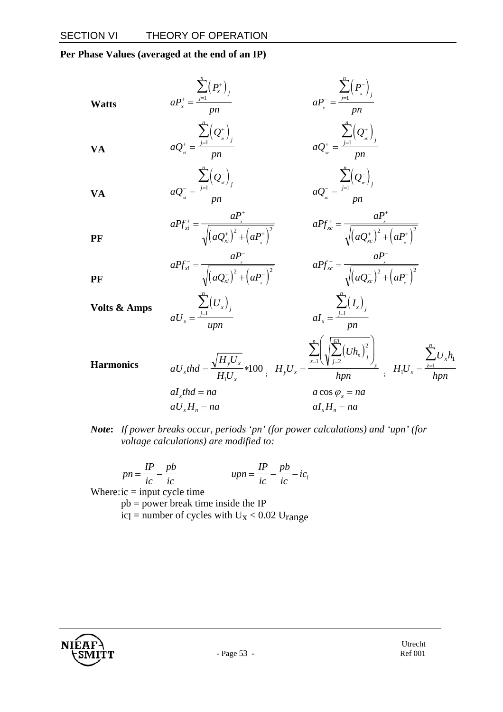**Per Phase Values (averaged at the end of an IP)** 

**Watts**  
\n
$$
aP_x^+ = \frac{\sum_{j=1}^n (P_x^+)_j}{pn}
$$
\n
$$
aQ_x^+ = \frac{\sum_{j=1}^n (Q_x^+)_j}{pn}
$$
\n
$$
aQ_x^+ = \frac{\sum_{j=1}^n (Q_x^+)_j}{pn}
$$
\n
$$
aQ_x^+ = \frac{\sum_{j=1}^n (Q_x^-)_j}{pn}
$$
\n
$$
aQ_x^- = \frac{\sum_{j=1}^n (Q_x^-)_j}{pn}
$$
\n
$$
aQ_x^- = \frac{\sum_{j=1}^n (Q_x^-)_j}{pn}
$$
\n
$$
aP_{xx}^+ = \frac{aP_x^+}{\sqrt{(aQ_x^+)^2 + (aP_x^+)^2}}
$$
\n
$$
aP_{xx}^+ = \frac{aP_x^-}{\sqrt{(aQ_x^-)^2 + (aP_x^-)^2}}
$$
\n
$$
aP_{xx}^+ = \frac{aP_x^-}{\sqrt{(aQ_x^-)^2 + (aP_x^+)^2}}
$$
\n
$$
aP_{xx}^- = \frac{aP_x^-}{\sqrt{(aQ_x^-)^2 + (aP_x^+)^2}}
$$
\n
$$
aP_{xx}^- = \frac{aP_x^-}{\sqrt{(aQ_x^-)^2 + (aP_x^+)^2}}
$$
\n
$$
aI_x = \frac{\sum_{j=1}^n (I_x)_j}{pn}
$$
\n
$$
I_x = \frac{\sum_{j=1}^n (I_x)_j}{pn}
$$
\n
$$
I_yI_x = \frac{\sum_{z=1}^n (\sqrt{\sum_{j=2}^n (U_{n,j})_j})}{npn}
$$
\n
$$
I_yI_x = \frac{\sum_{z=1}^n (I_xI_{n,z}^+)_z}{npn}
$$
\n
$$
I_yI_x = \frac{\sum_{z=1}^n (I_xI_{n,z}^-)_z}{npn}
$$
\n
$$
I_yI_x = na
$$
\n
$$
I_yI_x = na
$$
\n
$$
I_yI_x = na
$$
\n
$$
I_yI_x = na
$$
\n
$$
I_yI_x = na
$$
\n
$$
I_yI_x = na
$$
\n
$$
I_yI_x = na
$$
\n
$$
I_yI_x = na
$$
\n<math display="block</b>

*Note***:** *If power breaks occur, periods 'pn' (for power calculations) and 'upn' (for voltage calculations) are modified to:* 

$$
pn = \frac{IP}{ic} - \frac{pb}{ic} \qquad \qquad upp = \frac{IP}{ic} - \frac{pb}{ic} - ic_i
$$

Where:  $ic = input cycle time$ 

pb = power break time inside the IP

icl = number of cycles with  $U_X < 0.02$  Urange

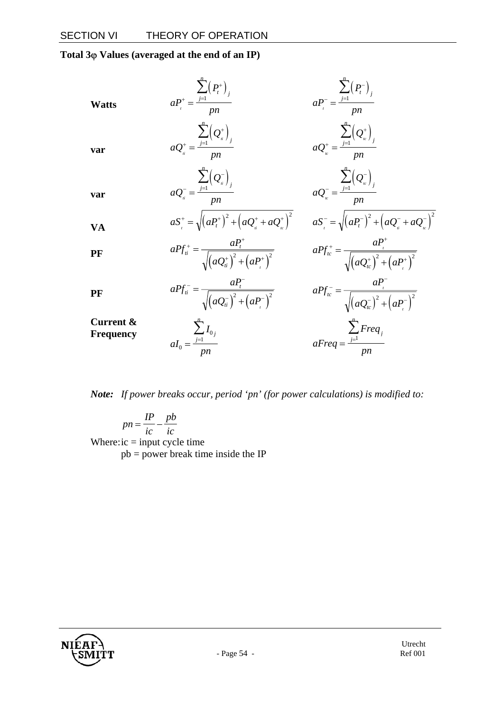**Total 3**ϕ **Values (averaged at the end of an IP)** 

| <b>Watts</b>           | $\sum_{i=1}^{n} (P_i^+)_{i}$<br>$aP_{i}^{+} = \frac{j-1}{pn}$               | $aP_{i}^{-} = \frac{\sum_{j=1}^{n} (P_{i}^{-})_{j}}{pn}$                                                                                                 |
|------------------------|-----------------------------------------------------------------------------|----------------------------------------------------------------------------------------------------------------------------------------------------------|
| var                    | $aQ_{i}^{+} = \frac{\sum_{j=1}^{n} (Q_{i}^{+})_{j}}{pn}$                    | $aQ_{\iota}^* = \frac{\sum_{j=1}^n (Q_{\iota}^*)}{nn}$                                                                                                   |
| var                    | $aQ_{ii}^{-} = \frac{\sum_{j=1}^{n} (Q_{ii}^{-})}{pn}$                      | $aQ_{\scriptscriptstyle k}^{\scriptscriptstyle -} = \frac{\sum_{j=1}^{n} (Q_{\scriptscriptstyle k}^{\scriptscriptstyle -})^{\scriptscriptstyle j}}{n n}$ |
| <b>VA</b>              | $aS_{.}^{+} = \sqrt{(aP_{t}^{+})^{2} + (aQ_{u}^{+} + aQ_{u}^{+})^{2}}$      | $aS^{-} = \sqrt{(aP_t^{-})^2 + (aQ_t^{-} + aQ_t^{-})^2}$                                                                                                 |
| PF                     | $aPf_{ii}^{+} = \frac{aP_{t}}{\sqrt{(aQ_{ii}^{+})^{2} + (aP_{i}^{+})^{2}}}$ | $aPf_{tc}^{+} = \frac{aP_{t}^{+}}{\sqrt{(aQ_{tc}^{+})^{2} + (aP_{t}^{+})^{2}}}$                                                                          |
| PF                     | $aPf_{ii}^{-} = \frac{aP_{t}}{\sqrt{(aQ_{ii}^{-})^{2} + (aP_{i}^{-})^{2}}}$ | $aPf_{ic}^{-} = \frac{ar}{\sqrt{(aQ_{ic}^{-})^{2} + (aP_{i}^{-})^{2}}}$                                                                                  |
| Current &<br>Frequency | $aI_0 = \frac{\sum_{j=1}^{n} I_{0j}}{\sum_{j=1}^{n} I_{0j}}$                | $aFreq = \frac{\sum_{j=1}^{n}Freq_j}{\cdots}$                                                                                                            |

*Note: If power breaks occur, period 'pn' (for power calculations) is modified to:* 

*pn IP ic pb*  $=\frac{H}{ic} - \frac{P^c}{ic}$ Where: $ic = input cycle time$  $pb = power$  break time inside the IP

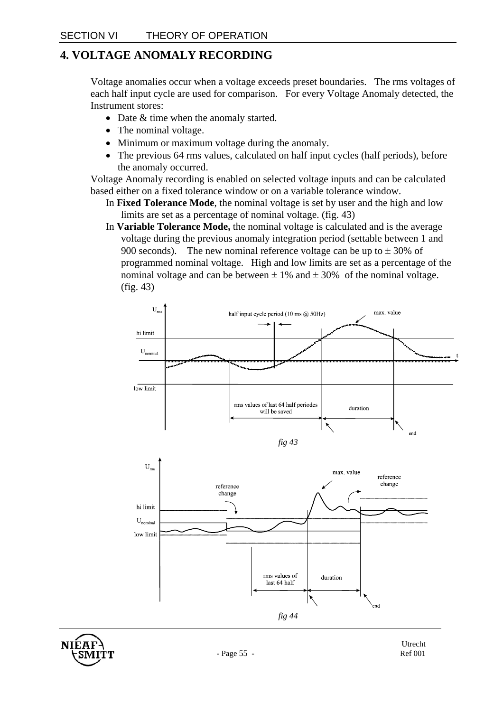### **4. VOLTAGE ANOMALY RECORDING**

Voltage anomalies occur when a voltage exceeds preset boundaries. The rms voltages of each half input cycle are used for comparison. For every Voltage Anomaly detected, the Instrument stores:

- Date & time when the anomaly started.
- The nominal voltage.
- Minimum or maximum voltage during the anomaly.
- The previous 64 rms values, calculated on half input cycles (half periods), before the anomaly occurred.

Voltage Anomaly recording is enabled on selected voltage inputs and can be calculated based either on a fixed tolerance window or on a variable tolerance window.

- In **Fixed Tolerance Mode**, the nominal voltage is set by user and the high and low limits are set as a percentage of nominal voltage. (fig. 43)
- In **Variable Tolerance Mode,** the nominal voltage is calculated and is the average voltage during the previous anomaly integration period (settable between 1 and 900 seconds). The new nominal reference voltage can be up to  $\pm$  30% of programmed nominal voltage. High and low limits are set as a percentage of the nominal voltage and can be between  $\pm 1\%$  and  $\pm 30\%$  of the nominal voltage. (fig. 43)





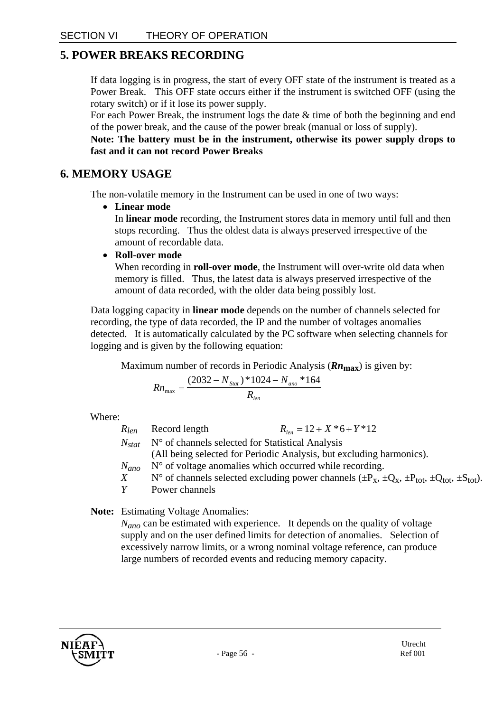### **5. POWER BREAKS RECORDING**

If data logging is in progress, the start of every OFF state of the instrument is treated as a Power Break. This OFF state occurs either if the instrument is switched OFF (using the rotary switch) or if it lose its power supply.

For each Power Break, the instrument logs the date  $\&$  time of both the beginning and end of the power break, and the cause of the power break (manual or loss of supply).

**Note: The battery must be in the instrument, otherwise its power supply drops to fast and it can not record Power Breaks** 

### **6. MEMORY USAGE**

The non-volatile memory in the Instrument can be used in one of two ways:

• **Linear mode** 

In **linear mode** recording, the Instrument stores data in memory until full and then stops recording. Thus the oldest data is always preserved irrespective of the amount of recordable data.

• **Roll-over mode** 

When recording in **roll-over mode**, the Instrument will over-write old data when memory is filled. Thus, the latest data is always preserved irrespective of the amount of data recorded, with the older data being possibly lost.

Data logging capacity in **linear mode** depends on the number of channels selected for recording, the type of data recorded, the IP and the number of voltages anomalies detected. It is automatically calculated by the PC software when selecting channels for logging and is given by the following equation:

Maximum number of records in Periodic Analysis (*Rn***max**) is given by:

$$
Rn_{\text{max}} = \frac{(2032 - N_{\text{Stat}}) * 1024 - N_{\text{ano}} * 164}{R_{\text{len}}}
$$

Where:

| $R_{len}$ | Record length                                                     | $R_{\text{tan}} = 12 + X * 6 + Y * 12$                                                                             |
|-----------|-------------------------------------------------------------------|--------------------------------------------------------------------------------------------------------------------|
|           | $N_{stat}$ N° of channels selected for Statistical Analysis       |                                                                                                                    |
|           |                                                                   | (All being selected for Periodic Analysis, but excluding harmonics).                                               |
|           | $N_{ano}$ N° of voltage anomalies which occurred while recording. |                                                                                                                    |
| X         |                                                                   | N° of channels selected excluding power channels $(\pm P_{x}, \pm Q_{x}, \pm P_{tot}, \pm Q_{tot}, \pm S_{tot})$ . |
| Y         | Power channels                                                    |                                                                                                                    |
|           |                                                                   |                                                                                                                    |

**Note:** Estimating Voltage Anomalies:

*N<sub>ano</sub>* can be estimated with experience. It depends on the quality of voltage supply and on the user defined limits for detection of anomalies. Selection of excessively narrow limits, or a wrong nominal voltage reference, can produce large numbers of recorded events and reducing memory capacity.

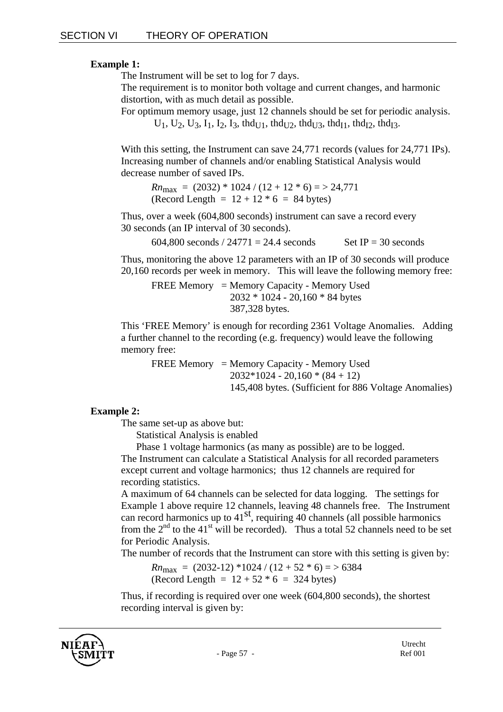#### **Example 1:**

The Instrument will be set to log for 7 days.

The requirement is to monitor both voltage and current changes, and harmonic distortion, with as much detail as possible.

For optimum memory usage, just 12 channels should be set for periodic analysis.  $U_1, U_2, U_3, I_1, I_2, I_3, thd_{U1}, thd_{U2}, thd_{U3}, thd_{I1}, thd_{I2}, thd_{I3}.$ 

With this setting, the Instrument can save 24,771 records (values for 24,771 IPs). Increasing number of channels and/or enabling Statistical Analysis would decrease number of saved IPs.

 $Rn_{\text{max}} = (2032) * 1024 / (12 + 12 * 6) = > 24,771$ (Record Length =  $12 + 12 * 6 = 84$  bytes)

Thus, over a week (604,800 seconds) instrument can save a record every 30 seconds (an IP interval of 30 seconds).

604,800 seconds  $/ 24771 = 24.4$  seconds Set IP = 30 seconds

Thus, monitoring the above 12 parameters with an IP of 30 seconds will produce 20,160 records per week in memory. This will leave the following memory free:

FREE Memory = Memory Capacity - Memory Used 2032 \* 1024 - 20,160 \* 84 bytes 387,328 bytes.

This 'FREE Memory' is enough for recording 2361 Voltage Anomalies. Adding a further channel to the recording (e.g. frequency) would leave the following memory free:

FREE Memory = Memory Capacity - Memory Used  $2032*1024 - 20,160 * (84 + 12)$ 145,408 bytes. (Sufficient for 886 Voltage Anomalies)

#### **Example 2:**

The same set-up as above but:

Statistical Analysis is enabled

Phase 1 voltage harmonics (as many as possible) are to be logged. The Instrument can calculate a Statistical Analysis for all recorded parameters except current and voltage harmonics; thus 12 channels are required for recording statistics.

A maximum of 64 channels can be selected for data logging. The settings for Example 1 above require 12 channels, leaving 48 channels free. The Instrument can record harmonics up to  $41<sup>st</sup>$ , requiring 40 channels (all possible harmonics from the  $2<sup>nd</sup>$  to the 41<sup>st</sup> will be recorded). Thus a total 52 channels need to be set for Periodic Analysis.

The number of records that the Instrument can store with this setting is given by:

 $Rn_{\text{max}} = (2032-12) *1024 / (12 + 52 * 6) = > 6384$ (Record Length =  $12 + 52 * 6 = 324$  bytes)

Thus, if recording is required over one week (604,800 seconds), the shortest recording interval is given by: